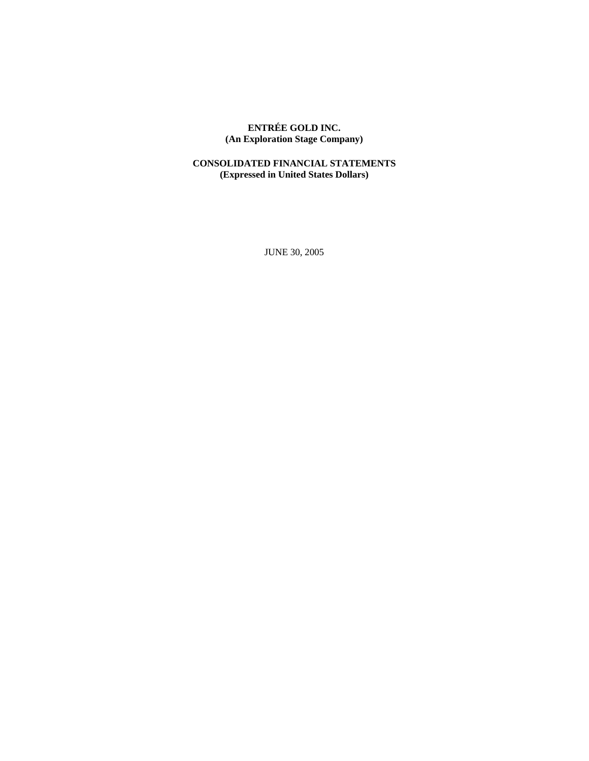# **ENTRÉE GOLD INC. (An Exploration Stage Company)**

# **CONSOLIDATED FINANCIAL STATEMENTS (Expressed in United States Dollars)**

JUNE 30, 2005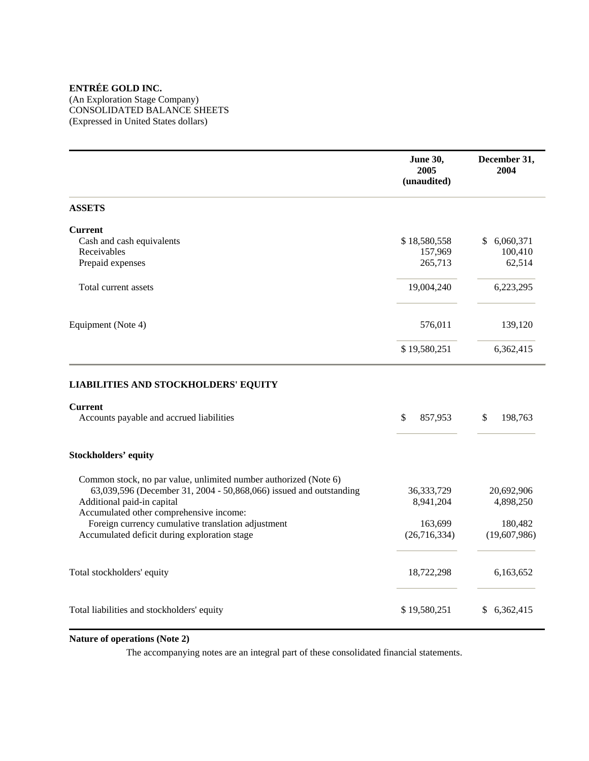(An Exploration Stage Company) CONSOLIDATED BALANCE SHEETS (Expressed in United States dollars)

|                                                                                                           | <b>June 30,</b><br>2005<br>(unaudited) | December 31,<br>2004 |
|-----------------------------------------------------------------------------------------------------------|----------------------------------------|----------------------|
| <b>ASSETS</b>                                                                                             |                                        |                      |
| <b>Current</b>                                                                                            |                                        |                      |
| Cash and cash equivalents                                                                                 | \$18,580,558                           | 6,060,371<br>\$      |
| Receivables                                                                                               | 157,969                                | 100,410              |
| Prepaid expenses                                                                                          | 265,713                                | 62,514               |
| Total current assets                                                                                      | 19,004,240                             | 6,223,295            |
| Equipment (Note 4)                                                                                        | 576,011                                | 139,120              |
|                                                                                                           | \$19,580,251                           | 6,362,415            |
| <b>LIABILITIES AND STOCKHOLDERS' EQUITY</b><br><b>Current</b><br>Accounts payable and accrued liabilities | \$<br>857,953                          | \$<br>198,763        |
| <b>Stockholders' equity</b>                                                                               |                                        |                      |
| Common stock, no par value, unlimited number authorized (Note 6)                                          |                                        |                      |
| 63,039,596 (December 31, 2004 - 50,868,066) issued and outstanding                                        | 36, 333, 729                           | 20,692,906           |
| Additional paid-in capital                                                                                | 8,941,204                              | 4,898,250            |
| Accumulated other comprehensive income:                                                                   |                                        |                      |
| Foreign currency cumulative translation adjustment                                                        | 163,699                                | 180,482              |
| Accumulated deficit during exploration stage                                                              | (26, 716, 334)                         | (19,607,986)         |
| Total stockholders' equity                                                                                | 18,722,298                             | 6,163,652            |
| Total liabilities and stockholders' equity                                                                | \$19,580,251                           | \$<br>6,362,415      |

# **Nature of operations (Note 2)**

The accompanying notes are an integral part of these consolidated financial statements.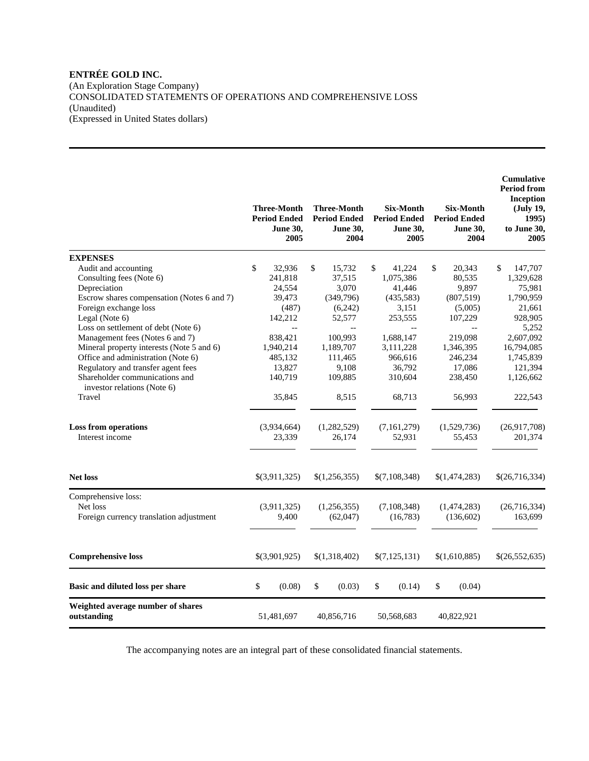(An Exploration Stage Company) CONSOLIDATED STATEMENTS OF OPERATIONS AND COMPREHENSIVE LOSS (Unaudited) (Expressed in United States dollars)

|                                                               | <b>Three-Month</b><br><b>Period Ended</b><br><b>June 30,</b><br>2005 | <b>Three-Month</b><br><b>Period Ended</b><br><b>June 30,</b><br>2004 | <b>Six-Month</b><br><b>Period Ended</b><br>June 30,<br>2005 | <b>Six-Month</b><br><b>Period Ended</b><br><b>June 30,</b><br>2004 | Cumulative<br><b>Period from</b><br>Inception<br>(July 19,<br>1995)<br>to June 30,<br>2005 |
|---------------------------------------------------------------|----------------------------------------------------------------------|----------------------------------------------------------------------|-------------------------------------------------------------|--------------------------------------------------------------------|--------------------------------------------------------------------------------------------|
| <b>EXPENSES</b>                                               |                                                                      |                                                                      |                                                             |                                                                    |                                                                                            |
| Audit and accounting                                          | \$<br>32,936                                                         | \$<br>15,732                                                         | \$<br>41,224                                                | \$<br>20,343                                                       | \$<br>147,707                                                                              |
| Consulting fees (Note 6)                                      | 241,818                                                              | 37,515                                                               | 1,075,386                                                   | 80,535                                                             | 1,329,628                                                                                  |
| Depreciation                                                  | 24,554                                                               | 3,070                                                                | 41,446                                                      | 9,897                                                              | 75,981                                                                                     |
| Escrow shares compensation (Notes 6 and 7)                    | 39,473                                                               | (349,796)                                                            | (435,583)                                                   | (807, 519)                                                         | 1,790,959                                                                                  |
| Foreign exchange loss                                         | (487)                                                                | (6,242)                                                              | 3,151                                                       | (5,005)                                                            | 21,661                                                                                     |
| Legal (Note 6)                                                | 142,212                                                              | 52,577                                                               | 253,555                                                     | 107,229                                                            | 928,905                                                                                    |
| Loss on settlement of debt (Note 6)                           | $-$                                                                  |                                                                      |                                                             | $\overline{\phantom{a}}$                                           | 5.252                                                                                      |
| Management fees (Notes 6 and 7)                               | 838,421                                                              | 100,993                                                              | 1,688,147                                                   | 219,098                                                            | 2,607,092                                                                                  |
| Mineral property interests (Note 5 and 6)                     | 1,940,214                                                            | 1,189,707                                                            | 3,111,228                                                   | 1,346,395                                                          | 16,794,085                                                                                 |
| Office and administration (Note 6)                            | 485,132                                                              | 111,465                                                              | 966,616                                                     | 246,234                                                            | 1,745,839                                                                                  |
| Regulatory and transfer agent fees                            | 13,827                                                               | 9,108                                                                | 36,792                                                      | 17,086                                                             | 121,394                                                                                    |
| Shareholder communications and<br>investor relations (Note 6) | 140,719                                                              | 109,885                                                              | 310,604                                                     | 238,450                                                            | 1,126,662                                                                                  |
| Travel                                                        | 35,845                                                               | 8,515                                                                | 68,713                                                      | 56,993                                                             | 222,543                                                                                    |
| <b>Loss from operations</b>                                   | (3,934,664)                                                          | (1,282,529)                                                          | (7,161,279)                                                 | (1,529,736)                                                        | (26,917,708)                                                                               |
| Interest income                                               | 23,339                                                               | 26,174                                                               | 52,931                                                      | 55,453                                                             | 201,374                                                                                    |
| <b>Net loss</b>                                               | \$(3,911,325)                                                        | \$(1,256,355)                                                        | \$(7,108,348)                                               | \$(1,474,283)                                                      | \$(26,716,334)                                                                             |
| Comprehensive loss:                                           |                                                                      |                                                                      |                                                             |                                                                    |                                                                                            |
| Net loss                                                      | (3,911,325)                                                          | (1,256,355)                                                          | (7,108,348)                                                 | (1,474,283)                                                        | (26,716,334)                                                                               |
| Foreign currency translation adjustment                       | 9,400                                                                | (62,047)                                                             | (16, 783)                                                   | (136, 602)                                                         | 163,699                                                                                    |
|                                                               |                                                                      |                                                                      |                                                             |                                                                    |                                                                                            |
| <b>Comprehensive loss</b>                                     | \$(3,901,925)                                                        | \$(1,318,402)                                                        | \$(7,125,131)                                               | \$(1,610,885)                                                      | \$(26,552,635)                                                                             |
| Basic and diluted loss per share                              | \$<br>(0.08)                                                         | \$<br>(0.03)                                                         | \$<br>(0.14)                                                | \$<br>(0.04)                                                       |                                                                                            |
| Weighted average number of shares<br>outstanding              | 51,481,697                                                           | 40,856,716                                                           | 50,568,683                                                  | 40,822,921                                                         |                                                                                            |

The accompanying notes are an integral part of these consolidated financial statements.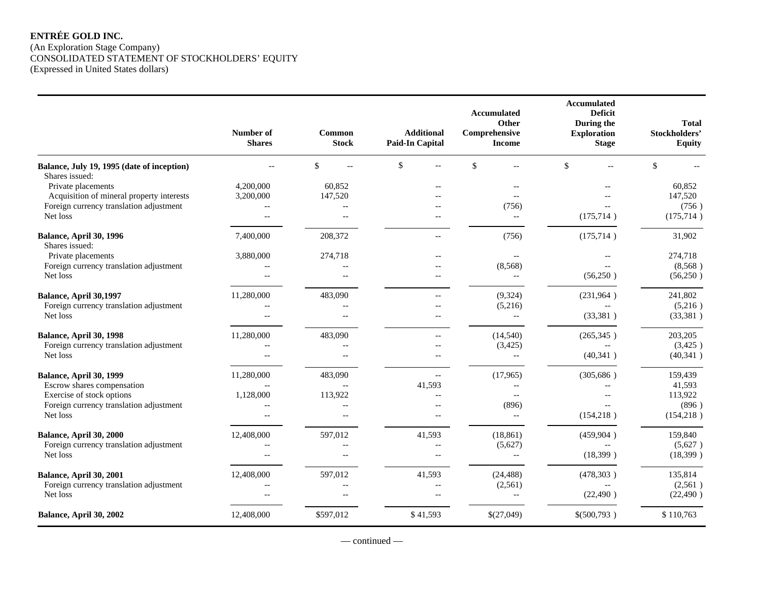# **ENTRÉE GOLD INC.**  (An Exploration Stage Company) CONSOLIDATED STATEMENT OF STOCKHOLDERS' EQUITY (Expressed in United States dollars)

|                                                              | Number of<br><b>Shares</b> | Common<br><b>Stock</b>   | <b>Additional</b><br><b>Paid-In Capital</b> | Accumulated<br>Other<br>Comprehensive<br><b>Income</b> | Accumulated<br><b>Deficit</b><br>During the<br><b>Exploration</b><br><b>Stage</b> | <b>Total</b><br>Stockholders'<br><b>Equity</b> |
|--------------------------------------------------------------|----------------------------|--------------------------|---------------------------------------------|--------------------------------------------------------|-----------------------------------------------------------------------------------|------------------------------------------------|
| Balance, July 19, 1995 (date of inception)<br>Shares issued: |                            | $\mathbb{S}$             | $\mathbf{s}$                                | \$                                                     | $\mathcal{S}$                                                                     | $\mathcal{S}$                                  |
| Private placements                                           | 4,200,000                  | 60,852                   |                                             |                                                        |                                                                                   | 60,852                                         |
| Acquisition of mineral property interests                    | 3,200,000                  | 147,520                  |                                             |                                                        |                                                                                   | 147,520                                        |
| Foreign currency translation adjustment                      |                            |                          |                                             | (756)                                                  |                                                                                   | (756)                                          |
| Net loss                                                     | $-$                        | $\overline{a}$           |                                             | $\overline{\phantom{a}}$                               | (175, 714)                                                                        | (175, 714)                                     |
| <b>Balance, April 30, 1996</b><br>Shares issued:             | 7,400,000                  | 208,372                  |                                             | (756)                                                  | (175, 714)                                                                        | 31,902                                         |
| Private placements                                           | 3,880,000                  | 274,718                  | $-$                                         | $-$                                                    |                                                                                   | 274,718                                        |
| Foreign currency translation adjustment                      |                            |                          |                                             | (8,568)                                                |                                                                                   | (8,568)                                        |
| Net loss                                                     |                            | $\overline{a}$           | $-$                                         | $\overline{\phantom{a}}$                               | (56,250)                                                                          | (56,250)                                       |
| Balance, April 30,1997                                       | 11,280,000                 | 483,090                  | $\overline{a}$                              | (9,324)                                                | (231,964)                                                                         | 241,802                                        |
| Foreign currency translation adjustment                      |                            | $-$                      | $-$                                         | (5,216)                                                |                                                                                   | (5,216)                                        |
| Net loss                                                     |                            | $\sim$                   | $-$                                         | $\mathbb{L}^{\mathbb{L}}$                              | (33,381)                                                                          | (33, 381)                                      |
| Balance, April 30, 1998                                      | 11,280,000                 | 483,090                  | $\overline{\phantom{a}}$                    | (14, 540)                                              | (265, 345)                                                                        | 203,205                                        |
| Foreign currency translation adjustment                      |                            |                          | $\overline{\phantom{a}}$                    | (3, 425)                                               | $- -$                                                                             | (3,425)                                        |
| Net loss                                                     |                            | $-$                      |                                             | $-\,-$                                                 | (40, 341)                                                                         | (40, 341)                                      |
| Balance, April 30, 1999                                      | 11,280,000                 | 483,090                  | $\overline{a}$                              | (17,965)                                               | (305, 686)                                                                        | 159,439                                        |
| Escrow shares compensation                                   |                            |                          | 41,593                                      |                                                        |                                                                                   | 41,593                                         |
| Exercise of stock options                                    | 1,128,000                  | 113,922                  | $\overline{a}$                              |                                                        |                                                                                   | 113,922                                        |
| Foreign currency translation adjustment                      |                            |                          |                                             | (896)                                                  |                                                                                   | (896)                                          |
| Net loss                                                     |                            |                          | $\overline{\phantom{a}}$                    | $\overline{\phantom{a}}$                               | (154, 218)                                                                        | (154, 218)                                     |
| Balance, April 30, 2000                                      | 12,408,000                 | 597,012                  | 41,593                                      | (18, 861)                                              | (459, 904)                                                                        | 159,840                                        |
| Foreign currency translation adjustment                      |                            | $-$                      | $\overline{\phantom{m}}$                    | (5,627)                                                |                                                                                   | (5,627)                                        |
| Net loss                                                     | $-$                        | $\overline{\phantom{a}}$ | $-\, -$                                     | $\overline{\phantom{a}}$                               | (18,399)                                                                          | (18, 399)                                      |
| Balance, April 30, 2001                                      | 12,408,000                 | 597,012                  | 41,593                                      | (24, 488)                                              | (478,303)                                                                         | 135,814                                        |
| Foreign currency translation adjustment                      | $\overline{a}$             | $\overline{a}$           | $\overline{\phantom{a}}$                    | (2,561)                                                | $-$                                                                               | (2,561)                                        |
| Net loss                                                     |                            |                          | $\overline{a}$                              | $\overline{\phantom{a}}$                               | (22, 490)                                                                         | (22, 490)                                      |
| Balance, April 30, 2002                                      | 12,408,000                 | \$597,012                | \$41,593                                    | \$(27,049)                                             | \$(500,793)                                                                       | \$110,763                                      |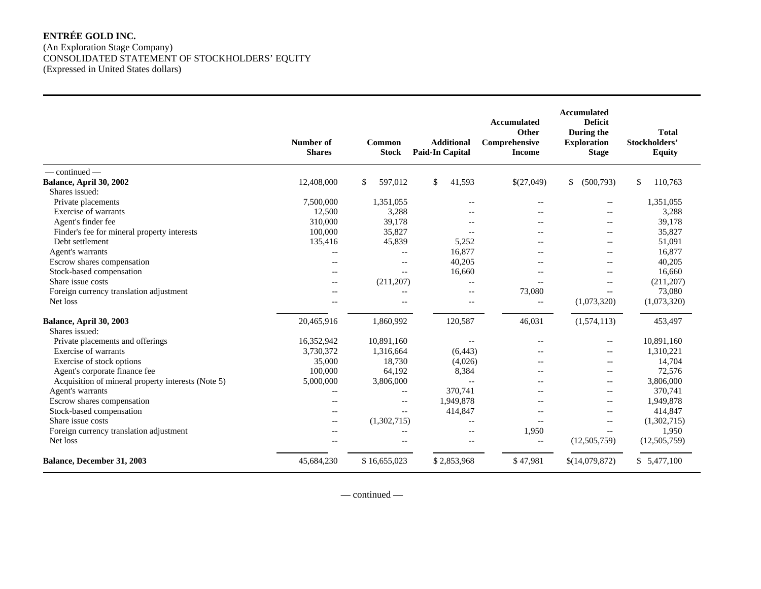# **ENTRÉE GOLD INC.**  (An Exploration Stage Company) CONSOLIDATED STATEMENT OF STOCKHOLDERS' EQUITY (Expressed in United States dollars)

|                                                    | Number of<br><b>Shares</b> | <b>Common</b><br><b>Stock</b> | <b>Additional</b><br><b>Paid-In Capital</b> | <b>Accumulated</b><br>Other<br>Comprehensive<br><b>Income</b> | Accumulated<br><b>Deficit</b><br>During the<br><b>Exploration</b><br><b>Stage</b> | <b>Total</b><br>Stockholders'<br><b>Equity</b> |
|----------------------------------------------------|----------------------------|-------------------------------|---------------------------------------------|---------------------------------------------------------------|-----------------------------------------------------------------------------------|------------------------------------------------|
| $-$ continued $-$                                  |                            |                               |                                             |                                                               |                                                                                   |                                                |
| Balance, April 30, 2002                            | 12,408,000                 | \$<br>597.012                 | \$<br>41,593                                | \$(27,049)                                                    | (500, 793)<br>$\mathbb{S}$                                                        | 110,763<br>\$                                  |
| Shares issued:                                     |                            |                               |                                             |                                                               |                                                                                   |                                                |
| Private placements                                 | 7,500,000                  | 1,351,055                     | $-$                                         | $-$                                                           | $--$                                                                              | 1,351,055                                      |
| Exercise of warrants                               | 12,500                     | 3,288                         | $-$                                         | $-$                                                           | $-$                                                                               | 3,288                                          |
| Agent's finder fee                                 | 310,000                    | 39,178                        | $-$                                         | $-$                                                           | $-$                                                                               | 39,178                                         |
| Finder's fee for mineral property interests        | 100,000                    | 35,827                        |                                             | $-1$                                                          | $- -$                                                                             | 35,827                                         |
| Debt settlement                                    | 135,416                    | 45,839                        | 5,252                                       |                                                               | $- -$                                                                             | 51,091                                         |
| Agent's warrants                                   | $\overline{\phantom{a}}$   | $-\, -$                       | 16,877                                      | --                                                            | $- -$                                                                             | 16,877                                         |
| Escrow shares compensation                         | $-$                        | $\overline{\phantom{a}}$      | 40,205                                      | $-$                                                           | $- -$                                                                             | 40,205                                         |
| Stock-based compensation                           | $-$                        | $\overline{\phantom{a}}$      | 16.660                                      | $-$                                                           | $-$                                                                               | 16,660                                         |
| Share issue costs                                  | $\overline{\phantom{m}}$   | (211, 207)                    | $\overline{\phantom{a}}$                    | $-$                                                           | $-$                                                                               | (211,207)                                      |
| Foreign currency translation adjustment            | $-$                        | $-$                           | $\overline{\phantom{m}}$                    | 73,080                                                        | $\overline{\phantom{a}}$                                                          | 73,080                                         |
| Net loss                                           |                            | $-$                           | $\overline{\phantom{m}}$                    | $-$                                                           | (1,073,320)                                                                       | (1,073,320)                                    |
| Balance, April 30, 2003<br>Shares issued:          | 20,465,916                 | 1,860,992                     | 120,587                                     | 46,031                                                        | (1,574,113)                                                                       | 453,497                                        |
| Private placements and offerings                   | 16,352,942                 | 10,891,160                    | $\overline{\phantom{m}}$                    | $-$                                                           | $-$                                                                               | 10,891,160                                     |
| Exercise of warrants                               | 3,730,372                  | 1,316,664                     | (6, 443)                                    |                                                               | $-$                                                                               | 1,310,221                                      |
| Exercise of stock options                          | 35,000                     | 18,730                        | (4,026)                                     |                                                               | $-$                                                                               | 14,704                                         |
| Agent's corporate finance fee                      | 100,000                    | 64,192                        | 8,384                                       |                                                               |                                                                                   | 72,576                                         |
| Acquisition of mineral property interests (Note 5) | 5,000,000                  | 3,806,000                     | $\overline{\phantom{a}}$                    | --                                                            | $-$                                                                               | 3,806,000                                      |
| Agent's warrants                                   | $-$                        | $-$                           | 370,741                                     |                                                               | $-$                                                                               | 370,741                                        |
| Escrow shares compensation                         | $-$                        | $-$                           | 1,949,878                                   | $-$                                                           | $-$                                                                               | 1,949,878                                      |
| Stock-based compensation                           | $-$                        | $\overline{\phantom{a}}$      | 414,847                                     | $-$                                                           | $-$                                                                               | 414,847                                        |
| Share issue costs                                  | $-$                        | (1,302,715)                   | $\sim$                                      | $-$                                                           | $-$                                                                               | (1,302,715)                                    |
| Foreign currency translation adjustment            | $-$                        | $-$                           | $-$                                         | 1,950                                                         | $\overline{a}$                                                                    | 1,950                                          |
| Net loss                                           |                            | $\overline{\phantom{a}}$      | $-$                                         | $-$                                                           | (12,505,759)                                                                      | (12, 505, 759)                                 |
| Balance, December 31, 2003                         | 45,684,230                 | \$16,655,023                  | \$2,853,968                                 | \$47,981                                                      | \$(14,079,872)                                                                    | \$5,477,100                                    |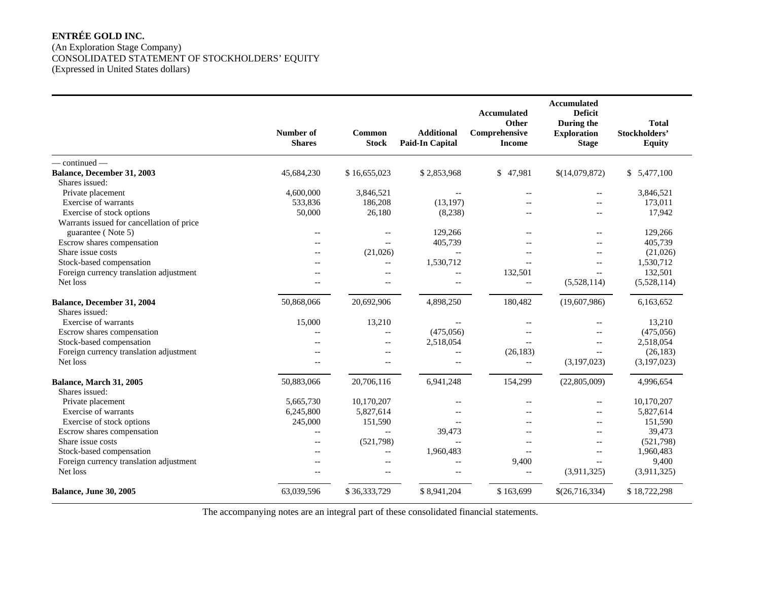# **ENTRÉE GOLD INC.**  (An Exploration Stage Company) CONSOLIDATED STATEMENT OF STOCKHOLDERS' EQUITY (Expressed in United States dollars)

|                                           | Number of      | Common                   | <b>Additional</b>      | Accumulated<br>Other<br>Comprehensive | <b>Accumulated</b><br><b>Deficit</b><br>During the<br><b>Exploration</b> | <b>Total</b><br>Stockholders' |
|-------------------------------------------|----------------|--------------------------|------------------------|---------------------------------------|--------------------------------------------------------------------------|-------------------------------|
|                                           | <b>Shares</b>  | <b>Stock</b>             | <b>Paid-In Capital</b> | <b>Income</b>                         | <b>Stage</b>                                                             | <b>Equity</b>                 |
| $-$ continued $-$                         |                |                          |                        |                                       |                                                                          |                               |
| Balance, December 31, 2003                | 45,684,230     | \$16,655,023             | \$2,853,968            | \$47,981                              | \$(14,079,872)                                                           | 5,477,100<br>\$               |
| Shares issued:                            |                |                          |                        |                                       |                                                                          |                               |
| Private placement                         | 4,600,000      | 3,846,521                | $-$                    |                                       | $-$                                                                      | 3,846,521                     |
| Exercise of warrants                      | 533,836        | 186,208                  | (13, 197)              |                                       |                                                                          | 173,011                       |
| Exercise of stock options                 | 50,000         | 26,180                   | (8,238)                |                                       | $\overline{a}$                                                           | 17,942                        |
| Warrants issued for cancellation of price |                |                          |                        |                                       |                                                                          |                               |
| guarantee (Note 5)                        | $-$            | $-$                      | 129,266                |                                       | $-$                                                                      | 129,266                       |
| Escrow shares compensation                | $-$            | $\overline{\phantom{a}}$ | 405,739                |                                       |                                                                          | 405,739                       |
| Share issue costs                         | $-$            | (21,026)                 |                        |                                       |                                                                          | (21,026)                      |
| Stock-based compensation                  | $-$            | $-$                      | 1,530,712              |                                       | $-$                                                                      | 1,530,712                     |
| Foreign currency translation adjustment   | $-$            | $\overline{a}$           |                        | 132,501                               |                                                                          | 132,501                       |
| Net loss                                  |                | $-$                      | $\overline{a}$         | $\overline{\phantom{a}}$              | (5,528,114)                                                              | (5,528,114)                   |
| Balance, December 31, 2004                | 50,868,066     | 20,692,906               | 4,898,250              | 180,482                               | (19,607,986)                                                             | 6,163,652                     |
| Shares issued:                            |                |                          |                        |                                       |                                                                          |                               |
| Exercise of warrants                      | 15,000         | 13,210                   |                        |                                       |                                                                          | 13,210                        |
| Escrow shares compensation                | $\overline{a}$ | $-$                      | (475,056)              |                                       |                                                                          | (475,056)                     |
| Stock-based compensation                  | $-$            | $-$                      | 2,518,054              |                                       | $\overline{a}$                                                           | 2.518.054                     |
| Foreign currency translation adjustment   | $-$            | $-$                      | $\overline{a}$         | (26, 183)                             | $-$                                                                      | (26, 183)                     |
| Net loss                                  | $\overline{a}$ | $-$                      | $-$                    | $\overline{a}$                        | (3,197,023)                                                              | (3,197,023)                   |
| Balance, March 31, 2005                   | 50,883,066     | 20,706,116               | 6,941,248              | 154,299                               | (22,805,009)                                                             | 4,996,654                     |
| Shares issued:                            |                |                          |                        |                                       |                                                                          |                               |
| Private placement                         | 5,665,730      | 10,170,207               | $\sim$                 | $\sim$                                | $-$                                                                      | 10,170,207                    |
| Exercise of warrants                      | 6,245,800      | 5,827,614                |                        |                                       | $\overline{a}$                                                           | 5,827,614                     |
| Exercise of stock options                 | 245,000        | 151,590                  |                        |                                       | $\overline{a}$                                                           | 151,590                       |
| Escrow shares compensation                | $-$            | $\overline{a}$           | 39,473                 |                                       | $-$                                                                      | 39,473                        |
| Share issue costs                         | $-$            | (521,798)                | $\overline{a}$         |                                       | $-$                                                                      | (521,798)                     |
| Stock-based compensation                  | $-$            | $\overline{\phantom{a}}$ | 1,960,483              |                                       |                                                                          | 1,960,483                     |
| Foreign currency translation adjustment   | $-$            | $-$                      | $-$                    | 9,400                                 |                                                                          | 9,400                         |
| Net loss                                  | $-1$           | $-$                      | $\overline{a}$         | $\sim$                                | (3,911,325)                                                              | (3,911,325)                   |
| <b>Balance, June 30, 2005</b>             | 63,039,596     | \$36,333,729             | \$8,941,204            | \$163,699                             | \$(26,716,334)                                                           | \$18,722,298                  |

The accompanying notes are an integral part of these consolidated financial statements.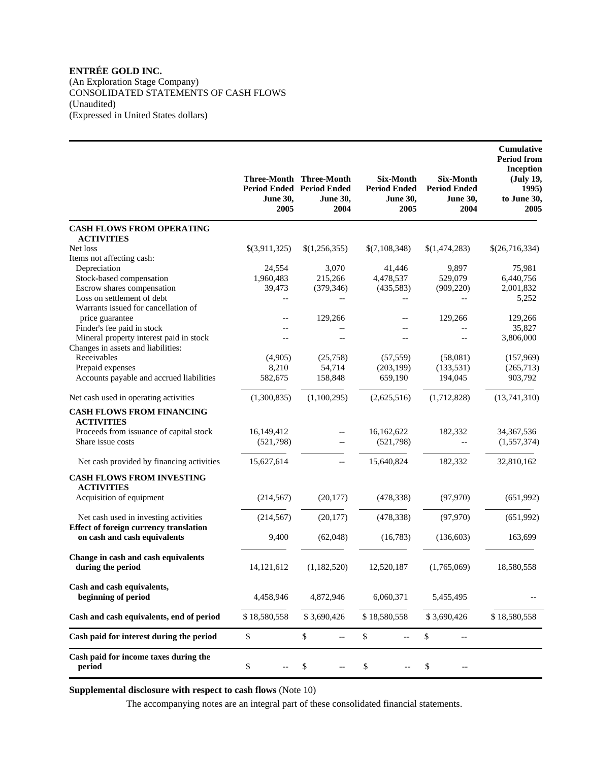(An Exploration Stage Company) CONSOLIDATED STATEMENTS OF CASH FLOWS (Unaudited) (Expressed in United States dollars)

|                                                          | <b>June 30,</b><br>2005 | Three-Month Three-Month<br><b>Period Ended Period Ended</b><br><b>June 30,</b><br>2004 | <b>Six-Month</b><br><b>Period Ended</b><br><b>June 30,</b><br>2005 | <b>Six-Month</b><br><b>Period Ended</b><br><b>June 30,</b><br>2004 | Cumulative<br><b>Period from</b><br>Inception<br>(July 19,<br>1995)<br>to June 30,<br>2005 |
|----------------------------------------------------------|-------------------------|----------------------------------------------------------------------------------------|--------------------------------------------------------------------|--------------------------------------------------------------------|--------------------------------------------------------------------------------------------|
| <b>CASH FLOWS FROM OPERATING</b>                         |                         |                                                                                        |                                                                    |                                                                    |                                                                                            |
| <b>ACTIVITIES</b>                                        |                         |                                                                                        |                                                                    |                                                                    |                                                                                            |
| Net loss                                                 | \$(3,911,325)           | \$(1,256,355)                                                                          | \$(7,108,348)                                                      | \$(1,474,283)                                                      | \$(26,716,334)                                                                             |
| Items not affecting cash:                                |                         |                                                                                        |                                                                    |                                                                    |                                                                                            |
| Depreciation                                             | 24,554                  | 3,070                                                                                  | 41,446                                                             | 9,897                                                              | 75,981                                                                                     |
| Stock-based compensation                                 | 1,960,483               | 215,266                                                                                | 4,478,537                                                          | 529,079                                                            | 6,440,756                                                                                  |
| Escrow shares compensation                               | 39,473                  | (379, 346)                                                                             | (435, 583)                                                         | (909, 220)                                                         | 2,001,832                                                                                  |
| Loss on settlement of debt                               | $-$                     |                                                                                        | $-$                                                                |                                                                    | 5,252                                                                                      |
| Warrants issued for cancellation of                      |                         |                                                                                        |                                                                    |                                                                    |                                                                                            |
| price guarantee                                          | --                      | 129,266                                                                                | $-$                                                                | 129,266                                                            | 129,266                                                                                    |
| Finder's fee paid in stock                               |                         |                                                                                        | $-$                                                                |                                                                    | 35,827                                                                                     |
| Mineral property interest paid in stock                  |                         |                                                                                        | $-$                                                                |                                                                    | 3,806,000                                                                                  |
| Changes in assets and liabilities:                       |                         |                                                                                        |                                                                    |                                                                    |                                                                                            |
| Receivables                                              | (4,905)                 | (25,758)                                                                               | (57, 559)                                                          | (58,081)                                                           | (157,969)                                                                                  |
| Prepaid expenses                                         | 8,210                   | 54,714                                                                                 | (203, 199)                                                         | (133, 531)                                                         | (265,713)                                                                                  |
| Accounts payable and accrued liabilities                 | 582,675                 | 158,848                                                                                | 659,190                                                            | 194,045                                                            | 903,792                                                                                    |
| Net cash used in operating activities                    | (1,300,835)             | (1,100,295)                                                                            | (2,625,516)                                                        | (1,712,828)                                                        | (13,741,310)                                                                               |
| <b>CASH FLOWS FROM FINANCING</b><br><b>ACTIVITIES</b>    |                         |                                                                                        |                                                                    |                                                                    |                                                                                            |
| Proceeds from issuance of capital stock                  | 16,149,412              | $-$                                                                                    | 16,162,622                                                         | 182,332                                                            | 34, 367, 536                                                                               |
| Share issue costs                                        | (521,798)               | $-$                                                                                    | (521,798)                                                          |                                                                    | (1,557,374)                                                                                |
| Net cash provided by financing activities                | 15,627,614              | $-$                                                                                    | 15,640,824                                                         | 182,332                                                            | 32,810,162                                                                                 |
| <b>CASH FLOWS FROM INVESTING</b><br><b>ACTIVITIES</b>    |                         |                                                                                        |                                                                    |                                                                    |                                                                                            |
| Acquisition of equipment                                 | (214, 567)              | (20, 177)                                                                              | (478, 338)                                                         | (97, 970)                                                          | (651,992)                                                                                  |
| Net cash used in investing activities                    | (214, 567)              | (20, 177)                                                                              | (478, 338)                                                         | (97, 970)                                                          | (651,992)                                                                                  |
| <b>Effect of foreign currency translation</b>            |                         |                                                                                        |                                                                    |                                                                    |                                                                                            |
| on cash and cash equivalents                             | 9,400                   | (62,048)                                                                               | (16,783)                                                           | (136, 603)                                                         | 163,699                                                                                    |
| Change in cash and cash equivalents<br>during the period | 14,121,612              | (1,182,520)                                                                            | 12,520,187                                                         | (1,765,069)                                                        | 18,580,558                                                                                 |
| Cash and cash equivalents,<br>beginning of period        | 4,458,946               | 4,872,946                                                                              | 6,060,371                                                          | 5,455,495                                                          |                                                                                            |
| Cash and cash equivalents, end of period                 | \$18,580,558            | \$3,690,426                                                                            | \$18,580,558                                                       | \$3,690,426                                                        | \$18,580,558                                                                               |
| Cash paid for interest during the period                 | $\mathbb{S}$            | \$<br>$-$                                                                              | \$<br>$-$                                                          | $\$$<br>--                                                         |                                                                                            |
| Cash paid for income taxes during the<br>period          | \$                      | \$                                                                                     | \$                                                                 | \$                                                                 |                                                                                            |

**Supplemental disclosure with respect to cash flows** (Note 10)

The accompanying notes are an integral part of these consolidated financial statements.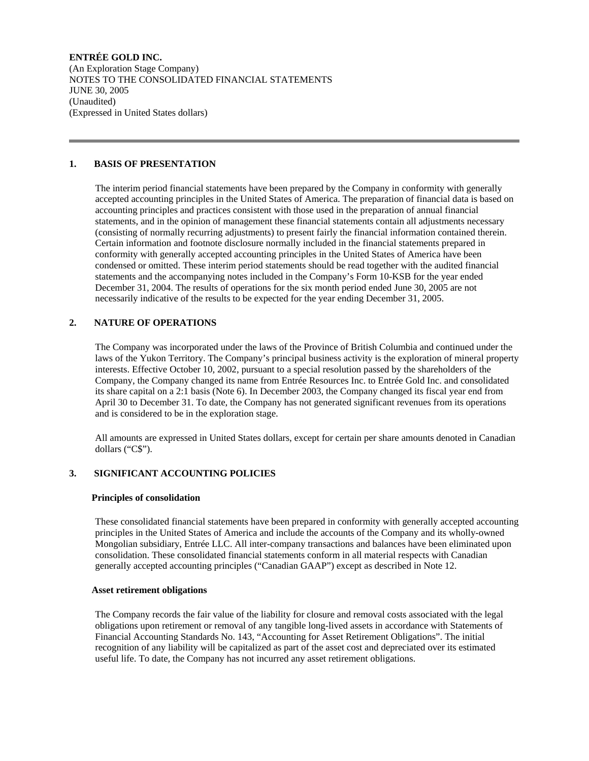(An Exploration Stage Company) NOTES TO THE CONSOLIDATED FINANCIAL STATEMENTS JUNE 30, 2005 (Unaudited) (Expressed in United States dollars)

### **1. BASIS OF PRESENTATION**

 The interim period financial statements have been prepared by the Company in conformity with generally accepted accounting principles in the United States of America. The preparation of financial data is based on accounting principles and practices consistent with those used in the preparation of annual financial statements, and in the opinion of management these financial statements contain all adjustments necessary (consisting of normally recurring adjustments) to present fairly the financial information contained therein. Certain information and footnote disclosure normally included in the financial statements prepared in conformity with generally accepted accounting principles in the United States of America have been condensed or omitted. These interim period statements should be read together with the audited financial statements and the accompanying notes included in the Company's Form 10-KSB for the year ended December 31, 2004. The results of operations for the six month period ended June 30, 2005 are not necessarily indicative of the results to be expected for the year ending December 31, 2005.

### **2. NATURE OF OPERATIONS**

 The Company was incorporated under the laws of the Province of British Columbia and continued under the laws of the Yukon Territory. The Company's principal business activity is the exploration of mineral property interests. Effective October 10, 2002, pursuant to a special resolution passed by the shareholders of the Company, the Company changed its name from Entrée Resources Inc. to Entrée Gold Inc. and consolidated its share capital on a 2:1 basis (Note 6). In December 2003, the Company changed its fiscal year end from April 30 to December 31. To date, the Company has not generated significant revenues from its operations and is considered to be in the exploration stage.

 All amounts are expressed in United States dollars, except for certain per share amounts denoted in Canadian dollars ("C\$").

### **3. SIGNIFICANT ACCOUNTING POLICIES**

### **Principles of consolidation**

 These consolidated financial statements have been prepared in conformity with generally accepted accounting principles in the United States of America and include the accounts of the Company and its wholly-owned Mongolian subsidiary, Entrée LLC. All inter-company transactions and balances have been eliminated upon consolidation. These consolidated financial statements conform in all material respects with Canadian generally accepted accounting principles ("Canadian GAAP") except as described in Note 12.

### **Asset retirement obligations**

 The Company records the fair value of the liability for closure and removal costs associated with the legal obligations upon retirement or removal of any tangible long-lived assets in accordance with Statements of Financial Accounting Standards No. 143, "Accounting for Asset Retirement Obligations". The initial recognition of any liability will be capitalized as part of the asset cost and depreciated over its estimated useful life. To date, the Company has not incurred any asset retirement obligations.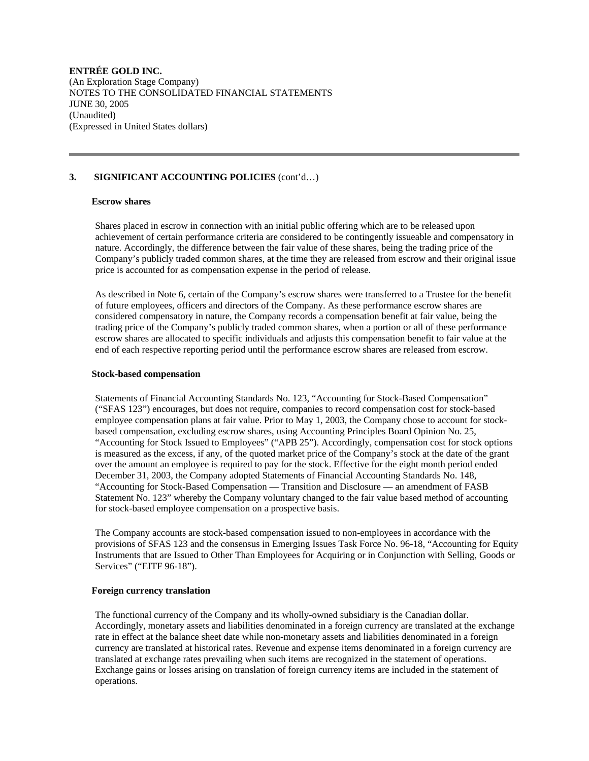### **3. SIGNIFICANT ACCOUNTING POLICIES** (cont'd…)

### **Escrow shares**

 Shares placed in escrow in connection with an initial public offering which are to be released upon achievement of certain performance criteria are considered to be contingently issueable and compensatory in nature. Accordingly, the difference between the fair value of these shares, being the trading price of the Company's publicly traded common shares, at the time they are released from escrow and their original issue price is accounted for as compensation expense in the period of release.

 As described in Note 6, certain of the Company's escrow shares were transferred to a Trustee for the benefit of future employees, officers and directors of the Company. As these performance escrow shares are considered compensatory in nature, the Company records a compensation benefit at fair value, being the trading price of the Company's publicly traded common shares, when a portion or all of these performance escrow shares are allocated to specific individuals and adjusts this compensation benefit to fair value at the end of each respective reporting period until the performance escrow shares are released from escrow.

#### **Stock-based compensation**

 Statements of Financial Accounting Standards No. 123, "Accounting for Stock-Based Compensation" ("SFAS 123") encourages, but does not require, companies to record compensation cost for stock-based employee compensation plans at fair value. Prior to May 1, 2003, the Company chose to account for stockbased compensation, excluding escrow shares, using Accounting Principles Board Opinion No. 25, "Accounting for Stock Issued to Employees" ("APB 25"). Accordingly, compensation cost for stock options is measured as the excess, if any, of the quoted market price of the Company's stock at the date of the grant over the amount an employee is required to pay for the stock. Effective for the eight month period ended December 31, 2003, the Company adopted Statements of Financial Accounting Standards No. 148, "Accounting for Stock-Based Compensation — Transition and Disclosure — an amendment of FASB Statement No. 123" whereby the Company voluntary changed to the fair value based method of accounting for stock-based employee compensation on a prospective basis.

 The Company accounts are stock-based compensation issued to non-employees in accordance with the provisions of SFAS 123 and the consensus in Emerging Issues Task Force No. 96-18, "Accounting for Equity Instruments that are Issued to Other Than Employees for Acquiring or in Conjunction with Selling, Goods or Services" ("EITF 96-18").

### **Foreign currency translation**

 The functional currency of the Company and its wholly-owned subsidiary is the Canadian dollar. Accordingly, monetary assets and liabilities denominated in a foreign currency are translated at the exchange rate in effect at the balance sheet date while non-monetary assets and liabilities denominated in a foreign currency are translated at historical rates. Revenue and expense items denominated in a foreign currency are translated at exchange rates prevailing when such items are recognized in the statement of operations. Exchange gains or losses arising on translation of foreign currency items are included in the statement of operations.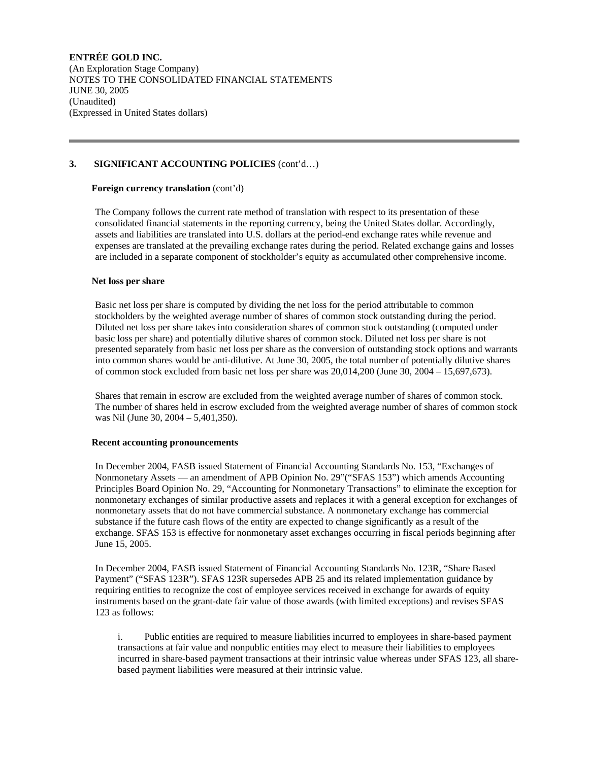# **3. SIGNIFICANT ACCOUNTING POLICIES** (cont'd…)

### **Foreign currency translation** (cont'd)

 The Company follows the current rate method of translation with respect to its presentation of these consolidated financial statements in the reporting currency, being the United States dollar. Accordingly, assets and liabilities are translated into U.S. dollars at the period-end exchange rates while revenue and expenses are translated at the prevailing exchange rates during the period. Related exchange gains and losses are included in a separate component of stockholder's equity as accumulated other comprehensive income.

### **Net loss per share**

 Basic net loss per share is computed by dividing the net loss for the period attributable to common stockholders by the weighted average number of shares of common stock outstanding during the period. Diluted net loss per share takes into consideration shares of common stock outstanding (computed under basic loss per share) and potentially dilutive shares of common stock. Diluted net loss per share is not presented separately from basic net loss per share as the conversion of outstanding stock options and warrants into common shares would be anti-dilutive. At June 30, 2005, the total number of potentially dilutive shares of common stock excluded from basic net loss per share was 20,014,200 (June 30, 2004 – 15,697,673).

 Shares that remain in escrow are excluded from the weighted average number of shares of common stock. The number of shares held in escrow excluded from the weighted average number of shares of common stock was Nil (June 30, 2004 – 5,401,350).

### **Recent accounting pronouncements**

 In December 2004, FASB issued Statement of Financial Accounting Standards No. 153, "Exchanges of Nonmonetary Assets — an amendment of APB Opinion No. 29"("SFAS 153") which amends Accounting Principles Board Opinion No. 29, "Accounting for Nonmonetary Transactions" to eliminate the exception for nonmonetary exchanges of similar productive assets and replaces it with a general exception for exchanges of nonmonetary assets that do not have commercial substance. A nonmonetary exchange has commercial substance if the future cash flows of the entity are expected to change significantly as a result of the exchange. SFAS 153 is effective for nonmonetary asset exchanges occurring in fiscal periods beginning after June 15, 2005.

 In December 2004, FASB issued Statement of Financial Accounting Standards No. 123R, "Share Based Payment" ("SFAS 123R"). SFAS 123R supersedes APB 25 and its related implementation guidance by requiring entities to recognize the cost of employee services received in exchange for awards of equity instruments based on the grant-date fair value of those awards (with limited exceptions) and revises SFAS 123 as follows:

 i. Public entities are required to measure liabilities incurred to employees in share-based payment transactions at fair value and nonpublic entities may elect to measure their liabilities to employees incurred in share-based payment transactions at their intrinsic value whereas under SFAS 123, all sharebased payment liabilities were measured at their intrinsic value.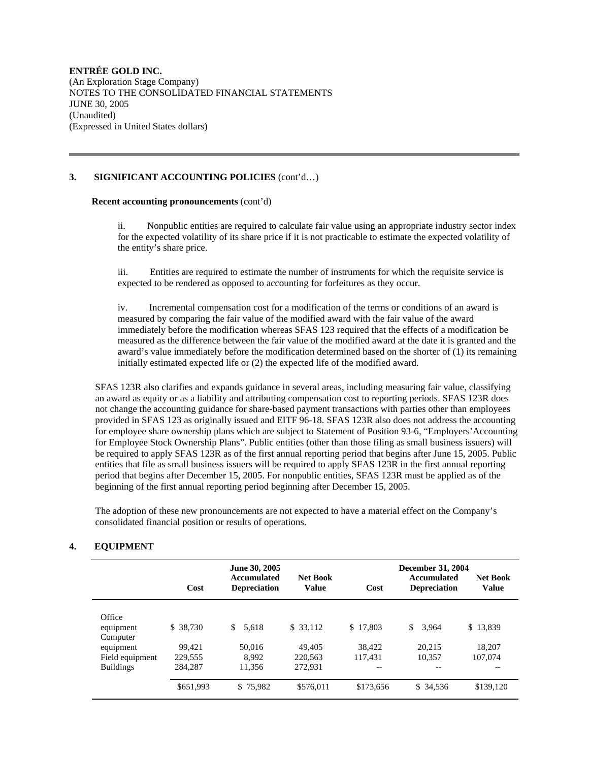### **3. SIGNIFICANT ACCOUNTING POLICIES** (cont'd…)

### **Recent accounting pronouncements** (cont'd)

 ii. Nonpublic entities are required to calculate fair value using an appropriate industry sector index for the expected volatility of its share price if it is not practicable to estimate the expected volatility of the entity's share price.

 iii. Entities are required to estimate the number of instruments for which the requisite service is expected to be rendered as opposed to accounting for forfeitures as they occur.

 iv. Incremental compensation cost for a modification of the terms or conditions of an award is measured by comparing the fair value of the modified award with the fair value of the award immediately before the modification whereas SFAS 123 required that the effects of a modification be measured as the difference between the fair value of the modified award at the date it is granted and the award's value immediately before the modification determined based on the shorter of (1) its remaining initially estimated expected life or (2) the expected life of the modified award.

 SFAS 123R also clarifies and expands guidance in several areas, including measuring fair value, classifying an award as equity or as a liability and attributing compensation cost to reporting periods. SFAS 123R does not change the accounting guidance for share-based payment transactions with parties other than employees provided in SFAS 123 as originally issued and EITF 96-18. SFAS 123R also does not address the accounting for employee share ownership plans which are subject to Statement of Position 93-6, "Employers'Accounting for Employee Stock Ownership Plans". Public entities (other than those filing as small business issuers) will be required to apply SFAS 123R as of the first annual reporting period that begins after June 15, 2005. Public entities that file as small business issuers will be required to apply SFAS 123R in the first annual reporting period that begins after December 15, 2005. For nonpublic entities, SFAS 123R must be applied as of the beginning of the first annual reporting period beginning after December 15, 2005.

 The adoption of these new pronouncements are not expected to have a material effect on the Company's consolidated financial position or results of operations.

### **4. EQUIPMENT**

|                  |           | June 30, 2005                             |                                 |           | <b>December 31, 2004</b>                  |                                 |
|------------------|-----------|-------------------------------------------|---------------------------------|-----------|-------------------------------------------|---------------------------------|
|                  | Cost      | <b>Accumulated</b><br><b>Depreciation</b> | <b>Net Book</b><br><b>Value</b> | Cost      | <b>Accumulated</b><br><b>Depreciation</b> | <b>Net Book</b><br><b>Value</b> |
| Office           |           |                                           |                                 |           |                                           |                                 |
| equipment        | \$ 38,730 | \$<br>5.618                               | \$ 33,112                       | \$17,803  | \$<br>3.964                               | \$13.839                        |
| Computer         |           |                                           |                                 |           |                                           |                                 |
| equipment        | 99.421    | 50,016                                    | 49,405                          | 38.422    | 20.215                                    | 18,207                          |
| Field equipment  | 229,555   | 8.992                                     | 220.563                         | 117.431   | 10.357                                    | 107,074                         |
| <b>Buildings</b> | 284,287   | 11,356                                    | 272.931                         | --        | --                                        |                                 |
|                  | \$651.993 | \$75,982                                  | \$576.011                       | \$173,656 | \$ 34,536                                 | \$139,120                       |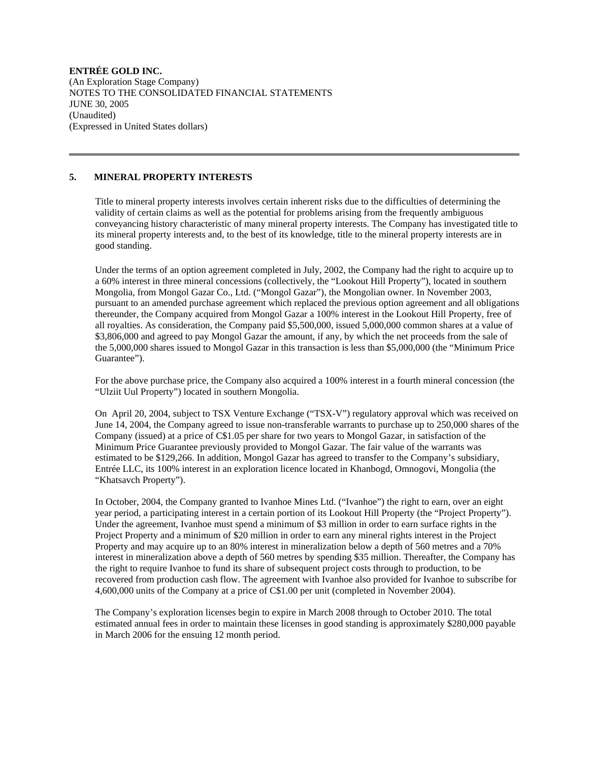### **5. MINERAL PROPERTY INTERESTS**

 Title to mineral property interests involves certain inherent risks due to the difficulties of determining the validity of certain claims as well as the potential for problems arising from the frequently ambiguous conveyancing history characteristic of many mineral property interests. The Company has investigated title to its mineral property interests and, to the best of its knowledge, title to the mineral property interests are in good standing.

 Under the terms of an option agreement completed in July, 2002, the Company had the right to acquire up to a 60% interest in three mineral concessions (collectively, the "Lookout Hill Property"), located in southern Mongolia, from Mongol Gazar Co., Ltd. ("Mongol Gazar"), the Mongolian owner. In November 2003, pursuant to an amended purchase agreement which replaced the previous option agreement and all obligations thereunder, the Company acquired from Mongol Gazar a 100% interest in the Lookout Hill Property, free of all royalties. As consideration, the Company paid \$5,500,000, issued 5,000,000 common shares at a value of \$3,806,000 and agreed to pay Mongol Gazar the amount, if any, by which the net proceeds from the sale of the 5,000,000 shares issued to Mongol Gazar in this transaction is less than \$5,000,000 (the "Minimum Price Guarantee").

 For the above purchase price, the Company also acquired a 100% interest in a fourth mineral concession (the "Ulziit Uul Property") located in southern Mongolia.

 On April 20, 2004, subject to TSX Venture Exchange ("TSX-V") regulatory approval which was received on June 14, 2004, the Company agreed to issue non-transferable warrants to purchase up to 250,000 shares of the Company (issued) at a price of C\$1.05 per share for two years to Mongol Gazar, in satisfaction of the Minimum Price Guarantee previously provided to Mongol Gazar. The fair value of the warrants was estimated to be \$129,266. In addition, Mongol Gazar has agreed to transfer to the Company's subsidiary, Entrée LLC, its 100% interest in an exploration licence located in Khanbogd, Omnogovi, Mongolia (the "Khatsavch Property").

 In October, 2004, the Company granted to Ivanhoe Mines Ltd. ("Ivanhoe") the right to earn, over an eight year period, a participating interest in a certain portion of its Lookout Hill Property (the "Project Property"). Under the agreement, Ivanhoe must spend a minimum of \$3 million in order to earn surface rights in the Project Property and a minimum of \$20 million in order to earn any mineral rights interest in the Project Property and may acquire up to an 80% interest in mineralization below a depth of 560 metres and a 70% interest in mineralization above a depth of 560 metres by spending \$35 million. Thereafter, the Company has the right to require Ivanhoe to fund its share of subsequent project costs through to production, to be recovered from production cash flow. The agreement with Ivanhoe also provided for Ivanhoe to subscribe for 4,600,000 units of the Company at a price of C\$1.00 per unit (completed in November 2004).

 The Company's exploration licenses begin to expire in March 2008 through to October 2010. The total estimated annual fees in order to maintain these licenses in good standing is approximately \$280,000 payable in March 2006 for the ensuing 12 month period.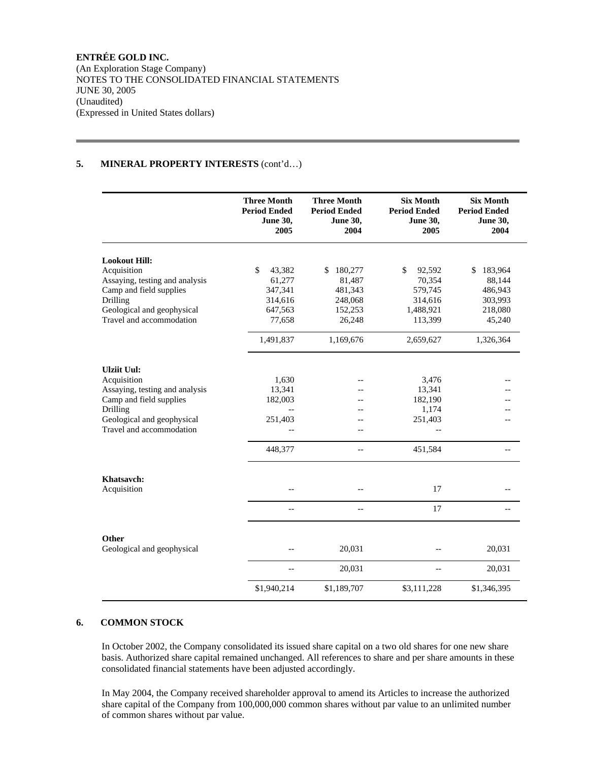(An Exploration Stage Company) NOTES TO THE CONSOLIDATED FINANCIAL STATEMENTS JUNE 30, 2005 (Unaudited) (Expressed in United States dollars)

# **5. MINERAL PROPERTY INTERESTS** (cont'd…)

|                                | <b>Three Month</b><br><b>Period Ended</b><br><b>June 30,</b><br>2005 | <b>Three Month</b><br><b>Period Ended</b><br><b>June 30,</b><br>2004 | <b>Six Month</b><br><b>Period Ended</b><br><b>June 30,</b><br>2005 | <b>Six Month</b><br><b>Period Ended</b><br><b>June 30,</b><br>2004 |
|--------------------------------|----------------------------------------------------------------------|----------------------------------------------------------------------|--------------------------------------------------------------------|--------------------------------------------------------------------|
| <b>Lookout Hill:</b>           |                                                                      |                                                                      |                                                                    |                                                                    |
| Acquisition                    | \$<br>43,382                                                         | 180,277<br>S.                                                        | \$<br>92,592                                                       | 183,964<br>\$                                                      |
| Assaying, testing and analysis | 61,277                                                               | 81,487                                                               | 70,354                                                             | 88,144                                                             |
| Camp and field supplies        | 347,341                                                              | 481,343                                                              | 579,745                                                            | 486,943                                                            |
| Drilling                       | 314,616                                                              | 248,068                                                              | 314,616                                                            | 303,993                                                            |
| Geological and geophysical     | 647,563                                                              | 152,253                                                              | 1,488,921                                                          | 218,080                                                            |
| Travel and accommodation       | 77,658                                                               | 26,248                                                               | 113,399                                                            | 45,240                                                             |
|                                | 1,491,837                                                            | 1,169,676                                                            | 2,659,627                                                          | 1,326,364                                                          |
| <b>Ulziit Uul:</b>             |                                                                      |                                                                      |                                                                    |                                                                    |
| Acquisition                    | 1,630                                                                |                                                                      | 3,476                                                              |                                                                    |
| Assaying, testing and analysis | 13,341                                                               |                                                                      | 13,341                                                             |                                                                    |
| Camp and field supplies        | 182,003                                                              |                                                                      | 182,190                                                            |                                                                    |
| Drilling                       |                                                                      |                                                                      | 1,174                                                              |                                                                    |
| Geological and geophysical     | 251,403                                                              |                                                                      | 251,403                                                            |                                                                    |
| Travel and accommodation       |                                                                      |                                                                      |                                                                    |                                                                    |
|                                | 448,377                                                              | $\overline{a}$                                                       | 451,584                                                            |                                                                    |
| Khatsavch:                     |                                                                      |                                                                      |                                                                    |                                                                    |
| Acquisition                    |                                                                      |                                                                      | 17                                                                 |                                                                    |
|                                | $-$                                                                  | $-$                                                                  | 17                                                                 |                                                                    |
| Other                          |                                                                      |                                                                      |                                                                    |                                                                    |
| Geological and geophysical     |                                                                      | 20,031                                                               |                                                                    | 20,031                                                             |
|                                | $-$                                                                  | 20,031                                                               | $-$                                                                | 20,031                                                             |
|                                | \$1,940,214                                                          | \$1,189,707                                                          | \$3,111,228                                                        | \$1,346,395                                                        |

### **6. COMMON STOCK**

 In October 2002, the Company consolidated its issued share capital on a two old shares for one new share basis. Authorized share capital remained unchanged. All references to share and per share amounts in these consolidated financial statements have been adjusted accordingly.

 In May 2004, the Company received shareholder approval to amend its Articles to increase the authorized share capital of the Company from 100,000,000 common shares without par value to an unlimited number of common shares without par value.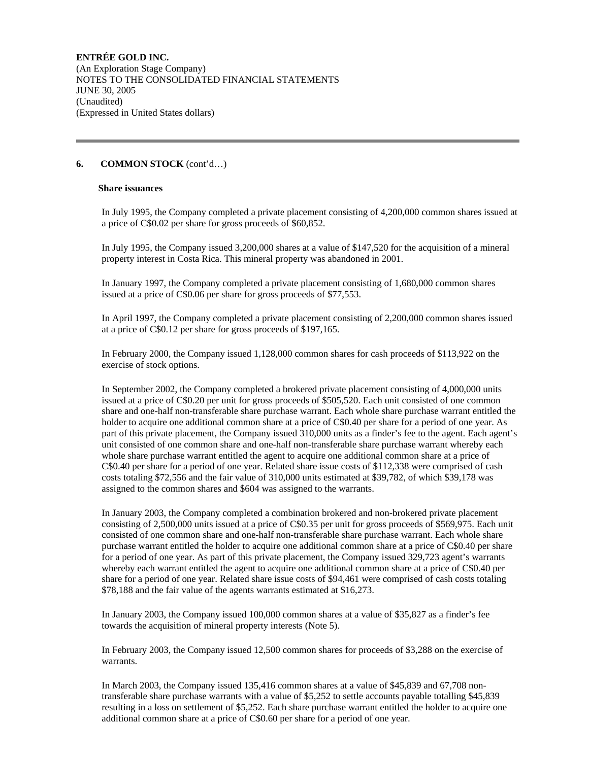### **6. COMMON STOCK** (cont'd…)

#### **Share issuances**

 In July 1995, the Company completed a private placement consisting of 4,200,000 common shares issued at a price of C\$0.02 per share for gross proceeds of \$60,852.

 In July 1995, the Company issued 3,200,000 shares at a value of \$147,520 for the acquisition of a mineral property interest in Costa Rica. This mineral property was abandoned in 2001.

 In January 1997, the Company completed a private placement consisting of 1,680,000 common shares issued at a price of C\$0.06 per share for gross proceeds of \$77,553.

 In April 1997, the Company completed a private placement consisting of 2,200,000 common shares issued at a price of C\$0.12 per share for gross proceeds of \$197,165.

 In February 2000, the Company issued 1,128,000 common shares for cash proceeds of \$113,922 on the exercise of stock options.

 In September 2002, the Company completed a brokered private placement consisting of 4,000,000 units issued at a price of C\$0.20 per unit for gross proceeds of \$505,520. Each unit consisted of one common share and one-half non-transferable share purchase warrant. Each whole share purchase warrant entitled the holder to acquire one additional common share at a price of C\$0.40 per share for a period of one year. As part of this private placement, the Company issued 310,000 units as a finder's fee to the agent. Each agent's unit consisted of one common share and one-half non-transferable share purchase warrant whereby each whole share purchase warrant entitled the agent to acquire one additional common share at a price of C\$0.40 per share for a period of one year. Related share issue costs of \$112,338 were comprised of cash costs totaling \$72,556 and the fair value of 310,000 units estimated at \$39,782, of which \$39,178 was assigned to the common shares and \$604 was assigned to the warrants.

 In January 2003, the Company completed a combination brokered and non-brokered private placement consisting of 2,500,000 units issued at a price of C\$0.35 per unit for gross proceeds of \$569,975. Each unit consisted of one common share and one-half non-transferable share purchase warrant. Each whole share purchase warrant entitled the holder to acquire one additional common share at a price of C\$0.40 per share for a period of one year. As part of this private placement, the Company issued 329,723 agent's warrants whereby each warrant entitled the agent to acquire one additional common share at a price of C\$0.40 per share for a period of one year. Related share issue costs of \$94,461 were comprised of cash costs totaling \$78,188 and the fair value of the agents warrants estimated at \$16,273.

 In January 2003, the Company issued 100,000 common shares at a value of \$35,827 as a finder's fee towards the acquisition of mineral property interests (Note 5).

 In February 2003, the Company issued 12,500 common shares for proceeds of \$3,288 on the exercise of warrants.

 In March 2003, the Company issued 135,416 common shares at a value of \$45,839 and 67,708 nontransferable share purchase warrants with a value of \$5,252 to settle accounts payable totalling \$45,839 resulting in a loss on settlement of \$5,252. Each share purchase warrant entitled the holder to acquire one additional common share at a price of C\$0.60 per share for a period of one year.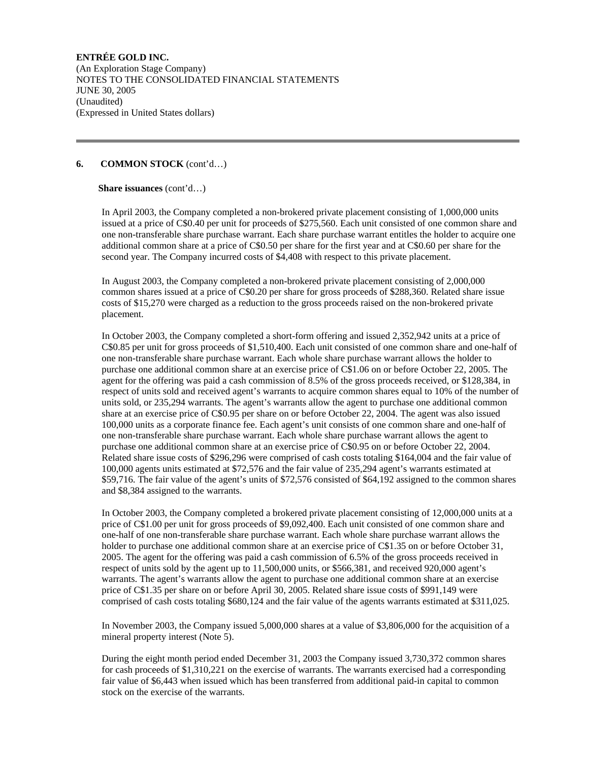(An Exploration Stage Company) NOTES TO THE CONSOLIDATED FINANCIAL STATEMENTS JUNE 30, 2005 (Unaudited) (Expressed in United States dollars)

### **6. COMMON STOCK** (cont'd…)

### **Share issuances** (cont'd…)

 In April 2003, the Company completed a non-brokered private placement consisting of 1,000,000 units issued at a price of C\$0.40 per unit for proceeds of \$275,560. Each unit consisted of one common share and one non-transferable share purchase warrant. Each share purchase warrant entitles the holder to acquire one additional common share at a price of C\$0.50 per share for the first year and at C\$0.60 per share for the second year. The Company incurred costs of \$4,408 with respect to this private placement.

 In August 2003, the Company completed a non-brokered private placement consisting of 2,000,000 common shares issued at a price of C\$0.20 per share for gross proceeds of \$288,360. Related share issue costs of \$15,270 were charged as a reduction to the gross proceeds raised on the non-brokered private placement.

 In October 2003, the Company completed a short-form offering and issued 2,352,942 units at a price of C\$0.85 per unit for gross proceeds of \$1,510,400. Each unit consisted of one common share and one-half of one non-transferable share purchase warrant. Each whole share purchase warrant allows the holder to purchase one additional common share at an exercise price of C\$1.06 on or before October 22, 2005. The agent for the offering was paid a cash commission of 8.5% of the gross proceeds received, or \$128,384, in respect of units sold and received agent's warrants to acquire common shares equal to 10% of the number of units sold, or 235,294 warrants. The agent's warrants allow the agent to purchase one additional common share at an exercise price of C\$0.95 per share on or before October 22, 2004. The agent was also issued 100,000 units as a corporate finance fee. Each agent's unit consists of one common share and one-half of one non-transferable share purchase warrant. Each whole share purchase warrant allows the agent to purchase one additional common share at an exercise price of C\$0.95 on or before October 22, 2004. Related share issue costs of \$296,296 were comprised of cash costs totaling \$164,004 and the fair value of 100,000 agents units estimated at \$72,576 and the fair value of 235,294 agent's warrants estimated at \$59,716. The fair value of the agent's units of \$72,576 consisted of \$64,192 assigned to the common shares and \$8,384 assigned to the warrants.

 In October 2003, the Company completed a brokered private placement consisting of 12,000,000 units at a price of C\$1.00 per unit for gross proceeds of \$9,092,400. Each unit consisted of one common share and one-half of one non-transferable share purchase warrant. Each whole share purchase warrant allows the holder to purchase one additional common share at an exercise price of C\$1.35 on or before October 31, 2005. The agent for the offering was paid a cash commission of 6.5% of the gross proceeds received in respect of units sold by the agent up to 11,500,000 units, or \$566,381, and received 920,000 agent's warrants. The agent's warrants allow the agent to purchase one additional common share at an exercise price of C\$1.35 per share on or before April 30, 2005. Related share issue costs of \$991,149 were comprised of cash costs totaling \$680,124 and the fair value of the agents warrants estimated at \$311,025.

 In November 2003, the Company issued 5,000,000 shares at a value of \$3,806,000 for the acquisition of a mineral property interest (Note 5).

 During the eight month period ended December 31, 2003 the Company issued 3,730,372 common shares for cash proceeds of \$1,310,221 on the exercise of warrants. The warrants exercised had a corresponding fair value of \$6,443 when issued which has been transferred from additional paid-in capital to common stock on the exercise of the warrants.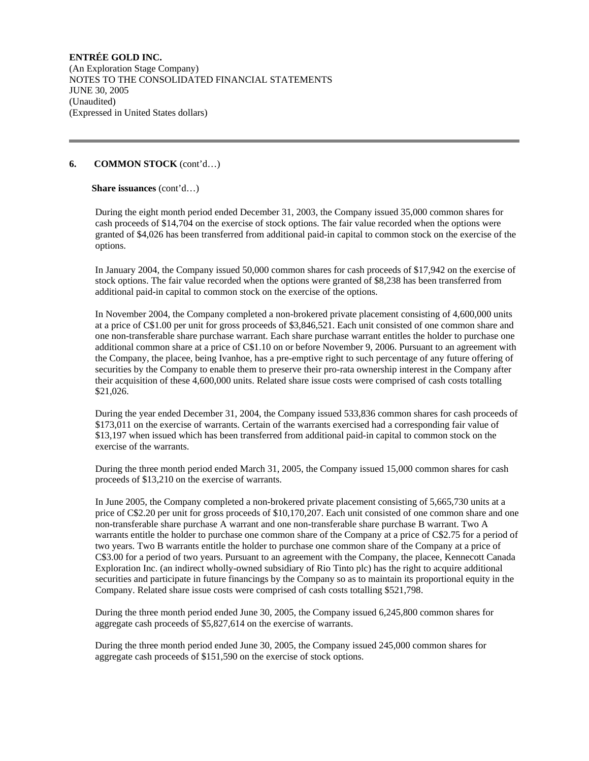# **6. COMMON STOCK** (cont'd…)

### **Share issuances** (cont'd…)

 During the eight month period ended December 31, 2003, the Company issued 35,000 common shares for cash proceeds of \$14,704 on the exercise of stock options. The fair value recorded when the options were granted of \$4,026 has been transferred from additional paid-in capital to common stock on the exercise of the options.

 In January 2004, the Company issued 50,000 common shares for cash proceeds of \$17,942 on the exercise of stock options. The fair value recorded when the options were granted of \$8,238 has been transferred from additional paid-in capital to common stock on the exercise of the options.

 In November 2004, the Company completed a non-brokered private placement consisting of 4,600,000 units at a price of C\$1.00 per unit for gross proceeds of \$3,846,521. Each unit consisted of one common share and one non-transferable share purchase warrant. Each share purchase warrant entitles the holder to purchase one additional common share at a price of C\$1.10 on or before November 9, 2006. Pursuant to an agreement with the Company, the placee, being Ivanhoe, has a pre-emptive right to such percentage of any future offering of securities by the Company to enable them to preserve their pro-rata ownership interest in the Company after their acquisition of these 4,600,000 units. Related share issue costs were comprised of cash costs totalling \$21,026.

 During the year ended December 31, 2004, the Company issued 533,836 common shares for cash proceeds of \$173,011 on the exercise of warrants. Certain of the warrants exercised had a corresponding fair value of \$13,197 when issued which has been transferred from additional paid-in capital to common stock on the exercise of the warrants.

 During the three month period ended March 31, 2005, the Company issued 15,000 common shares for cash proceeds of \$13,210 on the exercise of warrants.

 In June 2005, the Company completed a non-brokered private placement consisting of 5,665,730 units at a price of C\$2.20 per unit for gross proceeds of \$10,170,207. Each unit consisted of one common share and one non-transferable share purchase A warrant and one non-transferable share purchase B warrant. Two A warrants entitle the holder to purchase one common share of the Company at a price of C\$2.75 for a period of two years. Two B warrants entitle the holder to purchase one common share of the Company at a price of C\$3.00 for a period of two years. Pursuant to an agreement with the Company, the placee, Kennecott Canada Exploration Inc. (an indirect wholly-owned subsidiary of Rio Tinto plc) has the right to acquire additional securities and participate in future financings by the Company so as to maintain its proportional equity in the Company. Related share issue costs were comprised of cash costs totalling \$521,798.

 During the three month period ended June 30, 2005, the Company issued 6,245,800 common shares for aggregate cash proceeds of \$5,827,614 on the exercise of warrants.

 During the three month period ended June 30, 2005, the Company issued 245,000 common shares for aggregate cash proceeds of \$151,590 on the exercise of stock options.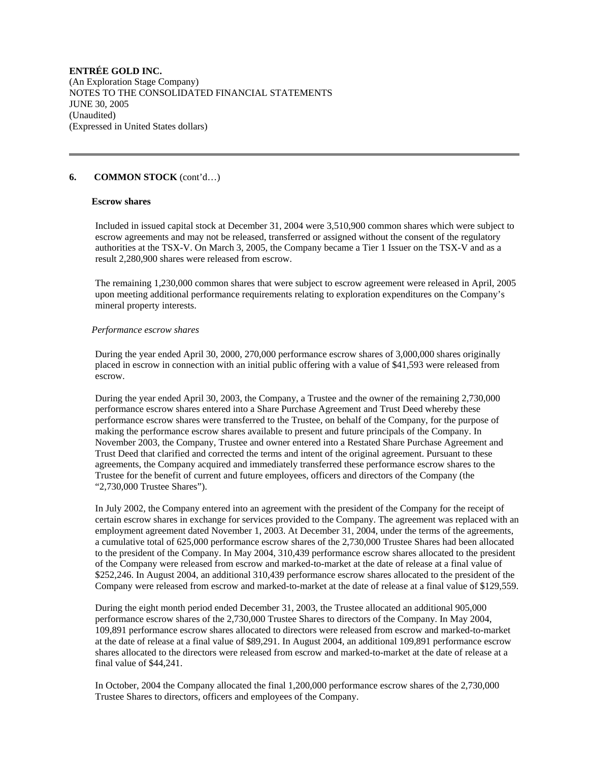### **6. COMMON STOCK** (cont'd…)

#### **Escrow shares**

 Included in issued capital stock at December 31, 2004 were 3,510,900 common shares which were subject to escrow agreements and may not be released, transferred or assigned without the consent of the regulatory authorities at the TSX-V. On March 3, 2005, the Company became a Tier 1 Issuer on the TSX-V and as a result 2,280,900 shares were released from escrow.

 The remaining 1,230,000 common shares that were subject to escrow agreement were released in April, 2005 upon meeting additional performance requirements relating to exploration expenditures on the Company's mineral property interests.

#### *Performance escrow shares*

 During the year ended April 30, 2000, 270,000 performance escrow shares of 3,000,000 shares originally placed in escrow in connection with an initial public offering with a value of \$41,593 were released from escrow.

 During the year ended April 30, 2003, the Company, a Trustee and the owner of the remaining 2,730,000 performance escrow shares entered into a Share Purchase Agreement and Trust Deed whereby these performance escrow shares were transferred to the Trustee, on behalf of the Company, for the purpose of making the performance escrow shares available to present and future principals of the Company. In November 2003, the Company, Trustee and owner entered into a Restated Share Purchase Agreement and Trust Deed that clarified and corrected the terms and intent of the original agreement. Pursuant to these agreements, the Company acquired and immediately transferred these performance escrow shares to the Trustee for the benefit of current and future employees, officers and directors of the Company (the "2,730,000 Trustee Shares").

 In July 2002, the Company entered into an agreement with the president of the Company for the receipt of certain escrow shares in exchange for services provided to the Company. The agreement was replaced with an employment agreement dated November 1, 2003. At December 31, 2004, under the terms of the agreements, a cumulative total of 625,000 performance escrow shares of the 2,730,000 Trustee Shares had been allocated to the president of the Company. In May 2004, 310,439 performance escrow shares allocated to the president of the Company were released from escrow and marked-to-market at the date of release at a final value of \$252,246. In August 2004, an additional 310,439 performance escrow shares allocated to the president of the Company were released from escrow and marked-to-market at the date of release at a final value of \$129,559.

 During the eight month period ended December 31, 2003, the Trustee allocated an additional 905,000 performance escrow shares of the 2,730,000 Trustee Shares to directors of the Company. In May 2004, 109,891 performance escrow shares allocated to directors were released from escrow and marked-to-market at the date of release at a final value of \$89,291. In August 2004, an additional 109,891 performance escrow shares allocated to the directors were released from escrow and marked-to-market at the date of release at a final value of \$44,241.

 In October, 2004 the Company allocated the final 1,200,000 performance escrow shares of the 2,730,000 Trustee Shares to directors, officers and employees of the Company.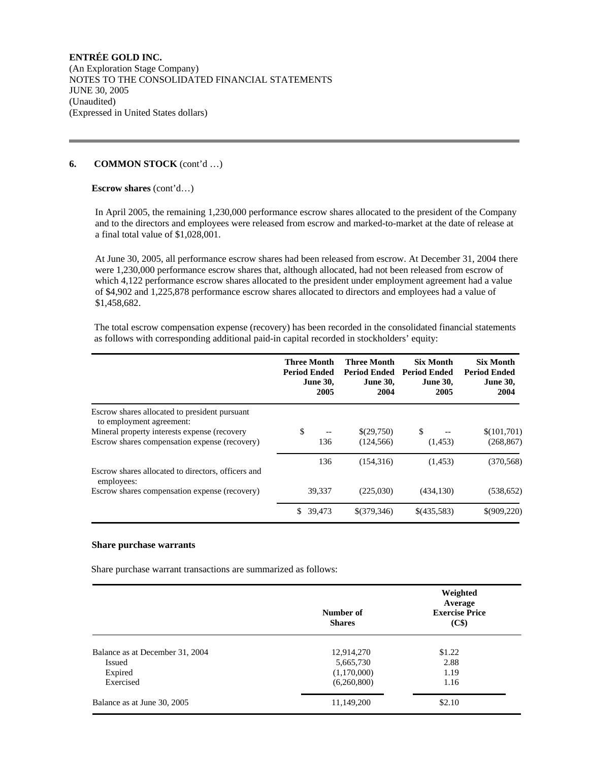# **6. COMMON STOCK** (cont'd …)

### **Escrow shares** (cont'd…)

 In April 2005, the remaining 1,230,000 performance escrow shares allocated to the president of the Company and to the directors and employees were released from escrow and marked-to-market at the date of release at a final total value of \$1,028,001.

 At June 30, 2005, all performance escrow shares had been released from escrow. At December 31, 2004 there were 1,230,000 performance escrow shares that, although allocated, had not been released from escrow of which 4,122 performance escrow shares allocated to the president under employment agreement had a value of \$4,902 and 1,225,878 performance escrow shares allocated to directors and employees had a value of \$1,458,682.

 The total escrow compensation expense (recovery) has been recorded in the consolidated financial statements as follows with corresponding additional paid-in capital recorded in stockholders' equity:

|                                                                                               | <b>Three Month</b><br><b>Period Ended</b><br><b>June 30,</b><br>2005 | <b>Three Month</b><br><b>Period Ended</b><br><b>June 30,</b><br>2004 | <b>Six Month</b><br><b>Period Ended</b><br><b>June 30,</b><br>2005 | <b>Six Month</b><br><b>Period Ended</b><br><b>June 30,</b><br>2004 |
|-----------------------------------------------------------------------------------------------|----------------------------------------------------------------------|----------------------------------------------------------------------|--------------------------------------------------------------------|--------------------------------------------------------------------|
| Escrow shares allocated to president pursuant<br>to employment agreement:                     |                                                                      |                                                                      |                                                                    |                                                                    |
| Mineral property interests expense (recovery<br>Escrow shares compensation expense (recovery) | \$<br>136                                                            | \$(29,750)<br>(124.566)                                              | \$<br>(1,453)                                                      | \$(101,701)<br>(268, 867)                                          |
| Escrow shares allocated to directors, officers and<br>employees:                              | 136                                                                  | (154.316)                                                            | (1, 453)                                                           | (370, 568)                                                         |
| Escrow shares compensation expense (recovery)                                                 | 39,337                                                               | (225,030)                                                            | (434, 130)                                                         | (538, 652)                                                         |
|                                                                                               | \$.<br>39,473                                                        | \$(379,346)                                                          | \$(435,583)                                                        | \$(909,220)                                                        |

#### **Share purchase warrants**

Share purchase warrant transactions are summarized as follows:

|                                 | Number of<br><b>Shares</b> | Weighted<br>Average<br><b>Exercise Price</b><br>(C\$) |
|---------------------------------|----------------------------|-------------------------------------------------------|
| Balance as at December 31, 2004 | 12,914,270                 | \$1.22                                                |
| Issued                          | 5,665,730                  | 2.88                                                  |
| Expired                         | (1,170,000)                | 1.19                                                  |
| Exercised                       | (6,260,800)                | 1.16                                                  |
| Balance as at June 30, 2005     | 11,149,200                 | \$2.10                                                |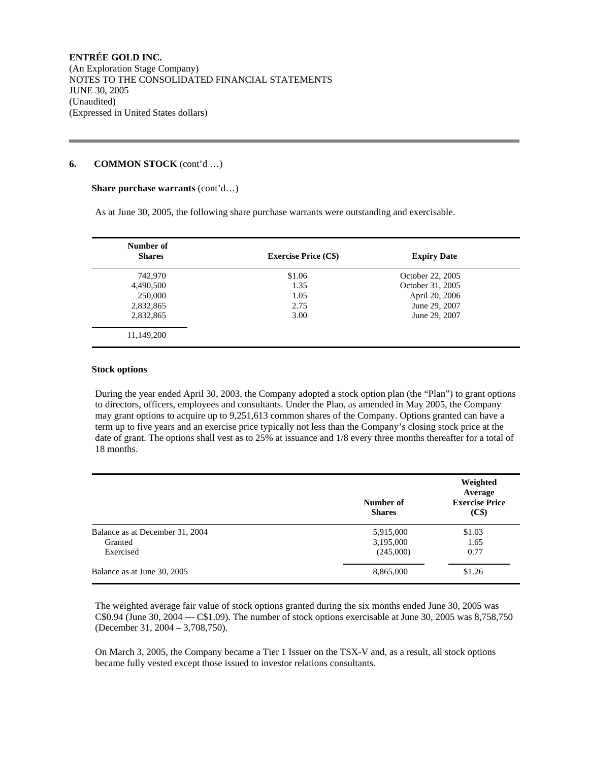### **6. COMMON STOCK** (cont'd …)

#### **Share purchase warrants** (cont'd…)

As at June 30, 2005, the following share purchase warrants were outstanding and exercisable.

| Number of<br><b>Shares</b> | <b>Exercise Price (C\$)</b> | <b>Expiry Date</b> |  |
|----------------------------|-----------------------------|--------------------|--|
| 742,970                    | \$1.06                      | October 22, 2005   |  |
| 4,490,500                  | 1.35                        | October 31, 2005   |  |
| 250,000                    | 1.05                        | April 20, 2006     |  |
| 2,832,865                  | 2.75                        | June 29, 2007      |  |
| 2,832,865                  | 3.00                        | June 29, 2007      |  |
| 11,149,200                 |                             |                    |  |

### **Stock options**

 During the year ended April 30, 2003, the Company adopted a stock option plan (the "Plan") to grant options to directors, officers, employees and consultants. Under the Plan, as amended in May 2005, the Company may grant options to acquire up to 9,251,613 common shares of the Company. Options granted can have a term up to five years and an exercise price typically not less than the Company's closing stock price at the date of grant. The options shall vest as to 25% at issuance and 1/8 every three months thereafter for a total of 18 months.

|                                 | Number of<br><b>Shares</b> | Weighted<br>Average<br><b>Exercise Price</b><br>(C\$) |
|---------------------------------|----------------------------|-------------------------------------------------------|
| Balance as at December 31, 2004 | 5,915,000                  | \$1.03                                                |
| Granted                         | 3,195,000                  | 1.65                                                  |
| Exercised                       | (245,000)                  | 0.77                                                  |
| Balance as at June 30, 2005     | 8,865,000                  | \$1.26                                                |

 The weighted average fair value of stock options granted during the six months ended June 30, 2005 was  $C$0.94$  (June 30, 2004 —  $C$1.09$ ). The number of stock options exercisable at June 30, 2005 was 8,758,750 (December 31, 2004 – 3,708,750).

 On March 3, 2005, the Company became a Tier 1 Issuer on the TSX-V and, as a result, all stock options became fully vested except those issued to investor relations consultants.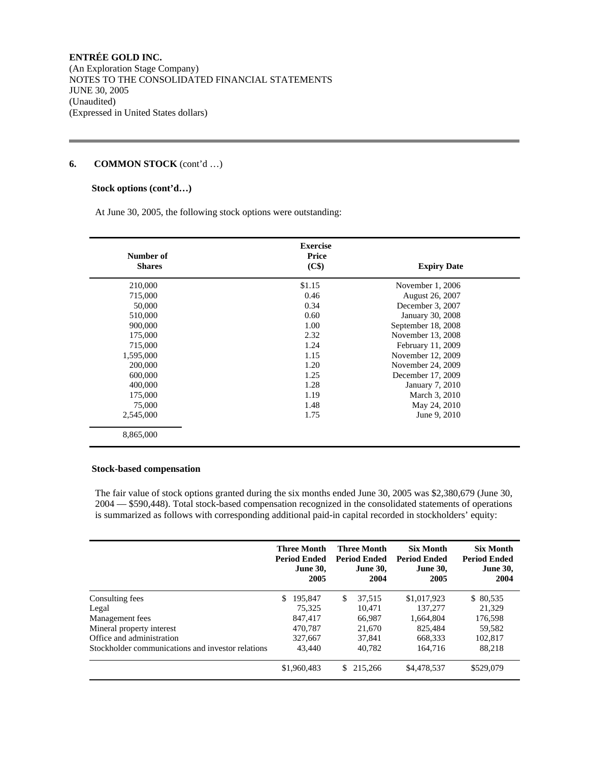(An Exploration Stage Company) NOTES TO THE CONSOLIDATED FINANCIAL STATEMENTS JUNE 30, 2005 (Unaudited) (Expressed in United States dollars)

# **6. COMMON STOCK** (cont'd …)

### **Stock options (cont'd…)**

At June 30, 2005, the following stock options were outstanding:

| Number of<br><b>Shares</b> | <b>Exercise</b><br>Price<br>(C\$) | <b>Expiry Date</b> |  |
|----------------------------|-----------------------------------|--------------------|--|
| 210,000                    | \$1.15                            | November 1, 2006   |  |
| 715,000                    | 0.46                              | August 26, 2007    |  |
| 50,000                     | 0.34                              | December 3, 2007   |  |
| 510,000                    | 0.60                              | January 30, 2008   |  |
| 900,000                    | 1.00                              | September 18, 2008 |  |
| 175,000                    | 2.32                              | November 13, 2008  |  |
| 715,000                    | 1.24                              | February 11, 2009  |  |
| 1,595,000                  | 1.15                              | November 12, 2009  |  |
| 200,000                    | 1.20                              | November 24, 2009  |  |
| 600,000                    | 1.25                              | December 17, 2009  |  |
| 400,000                    | 1.28                              | January 7, 2010    |  |
| 175,000                    | 1.19                              | March 3, 2010      |  |
| 75,000                     | 1.48                              | May 24, 2010       |  |
| 2,545,000                  | 1.75                              | June 9, 2010       |  |

#### **Stock-based compensation**

 The fair value of stock options granted during the six months ended June 30, 2005 was \$2,380,679 (June 30, 2004 — \$590,448). Total stock-based compensation recognized in the consolidated statements of operations is summarized as follows with corresponding additional paid-in capital recorded in stockholders' equity:

|                                                   | <b>Three Month</b><br>Period Ended<br><b>June 30,</b><br>2005 | <b>Three Month</b><br><b>Period Ended</b><br><b>June 30.</b><br>2004 | <b>Six Month</b><br><b>Period Ended</b><br><b>June 30.</b><br>2005 | <b>Six Month</b><br><b>Period Ended</b><br><b>June 30,</b><br>2004 |
|---------------------------------------------------|---------------------------------------------------------------|----------------------------------------------------------------------|--------------------------------------------------------------------|--------------------------------------------------------------------|
| Consulting fees                                   | \$.<br>195.847                                                | \$.<br>37.515                                                        | \$1,017,923                                                        | \$ 80,535                                                          |
| Legal                                             | 75.325                                                        | 10.471                                                               | 137,277                                                            | 21.329                                                             |
| Management fees                                   | 847,417                                                       | 66,987                                                               | 1,664,804                                                          | 176,598                                                            |
| Mineral property interest                         | 470.787                                                       | 21,670                                                               | 825.484                                                            | 59.582                                                             |
| Office and administration                         | 327,667                                                       | 37.841                                                               | 668.333                                                            | 102.817                                                            |
| Stockholder communications and investor relations | 43,440                                                        | 40.782                                                               | 164.716                                                            | 88.218                                                             |
|                                                   | \$1,960,483                                                   | 215,266<br>S.                                                        | \$4,478,537                                                        | \$529,079                                                          |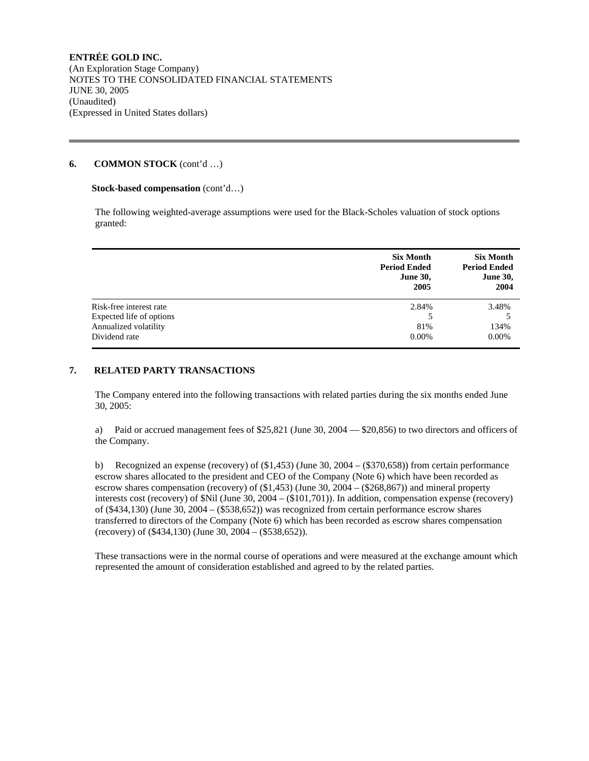### **6. COMMON STOCK** (cont'd …)

### **Stock-based compensation (cont'd...)**

 The following weighted-average assumptions were used for the Black-Scholes valuation of stock options granted:

|                          | <b>Six Month</b><br><b>Period Ended</b><br><b>June 30,</b><br>2005 | <b>Six Month</b><br><b>Period Ended</b><br><b>June 30,</b><br>2004 |
|--------------------------|--------------------------------------------------------------------|--------------------------------------------------------------------|
| Risk-free interest rate  | 2.84%                                                              | 3.48%                                                              |
| Expected life of options |                                                                    |                                                                    |
| Annualized volatility    | 81%                                                                | 134%                                                               |
| Dividend rate            | $0.00\%$                                                           | $0.00\%$                                                           |

### **7. RELATED PARTY TRANSACTIONS**

 The Company entered into the following transactions with related parties during the six months ended June 30, 2005:

 a) Paid or accrued management fees of \$25,821 (June 30, 2004 — \$20,856) to two directors and officers of the Company.

 b) Recognized an expense (recovery) of (\$1,453) (June 30, 2004 – (\$370,658)) from certain performance escrow shares allocated to the president and CEO of the Company (Note 6) which have been recorded as escrow shares compensation (recovery) of (\$1,453) (June 30, 2004 – (\$268,867)) and mineral property interests cost (recovery) of \$Nil (June 30, 2004 – (\$101,701)). In addition, compensation expense (recovery) of (\$434,130) (June 30, 2004 – (\$538,652)) was recognized from certain performance escrow shares transferred to directors of the Company (Note 6) which has been recorded as escrow shares compensation (recovery) of (\$434,130) (June 30, 2004 – (\$538,652)).

 These transactions were in the normal course of operations and were measured at the exchange amount which represented the amount of consideration established and agreed to by the related parties.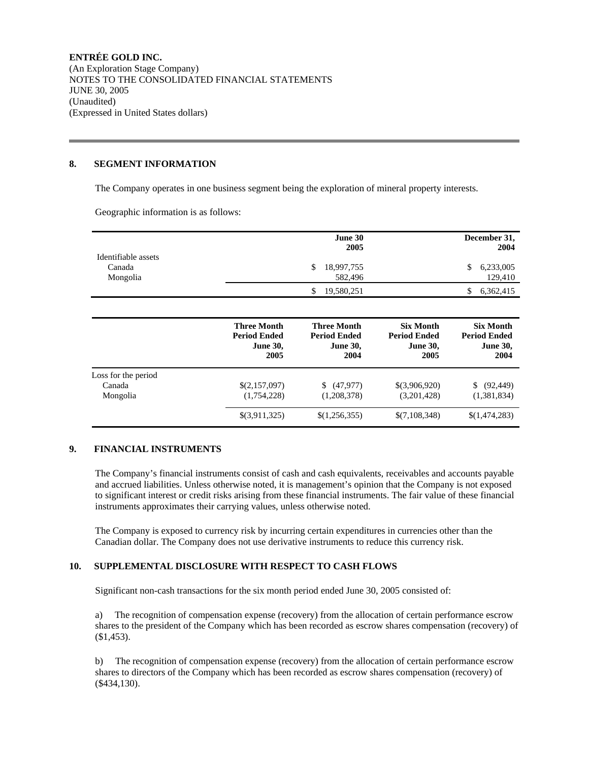# **8. SEGMENT INFORMATION**

The Company operates in one business segment being the exploration of mineral property interests.

Geographic information is as follows:

|                                           | June 30<br>2005       | December 31,<br>2004 |
|-------------------------------------------|-----------------------|----------------------|
| Identifiable assets<br>Canada<br>Mongolia | 18,997,755<br>582,496 | 6,233,005<br>129,410 |
|                                           | 19,580,251            | 6,362,415            |

|                                           | <b>Three Month</b><br><b>Period Ended</b><br><b>June 30,</b><br>2005 | <b>Three Month</b><br><b>Period Ended</b><br><b>June 30,</b><br>2004 | <b>Six Month</b><br><b>Period Ended</b><br><b>June 30,</b><br>2005 | <b>Six Month</b><br><b>Period Ended</b><br><b>June 30,</b><br>2004 |
|-------------------------------------------|----------------------------------------------------------------------|----------------------------------------------------------------------|--------------------------------------------------------------------|--------------------------------------------------------------------|
| Loss for the period<br>Canada<br>Mongolia | \$(2,157,097)<br>(1,754,228)                                         | (47,977)<br>S.<br>(1,208,378)                                        | \$(3,906,920)<br>(3,201,428)                                       | (92, 449)<br>S.<br>(1,381,834)                                     |
|                                           | \$(3,911,325)                                                        | \$(1,256,355)                                                        | \$(7,108,348)                                                      | \$(1,474,283)                                                      |

### **9. FINANCIAL INSTRUMENTS**

 The Company's financial instruments consist of cash and cash equivalents, receivables and accounts payable and accrued liabilities. Unless otherwise noted, it is management's opinion that the Company is not exposed to significant interest or credit risks arising from these financial instruments. The fair value of these financial instruments approximates their carrying values, unless otherwise noted.

 The Company is exposed to currency risk by incurring certain expenditures in currencies other than the Canadian dollar. The Company does not use derivative instruments to reduce this currency risk.

### **10. SUPPLEMENTAL DISCLOSURE WITH RESPECT TO CASH FLOWS**

Significant non-cash transactions for the six month period ended June 30, 2005 consisted of:

 a) The recognition of compensation expense (recovery) from the allocation of certain performance escrow shares to the president of the Company which has been recorded as escrow shares compensation (recovery) of (\$1,453).

 b) The recognition of compensation expense (recovery) from the allocation of certain performance escrow shares to directors of the Company which has been recorded as escrow shares compensation (recovery) of (\$434,130).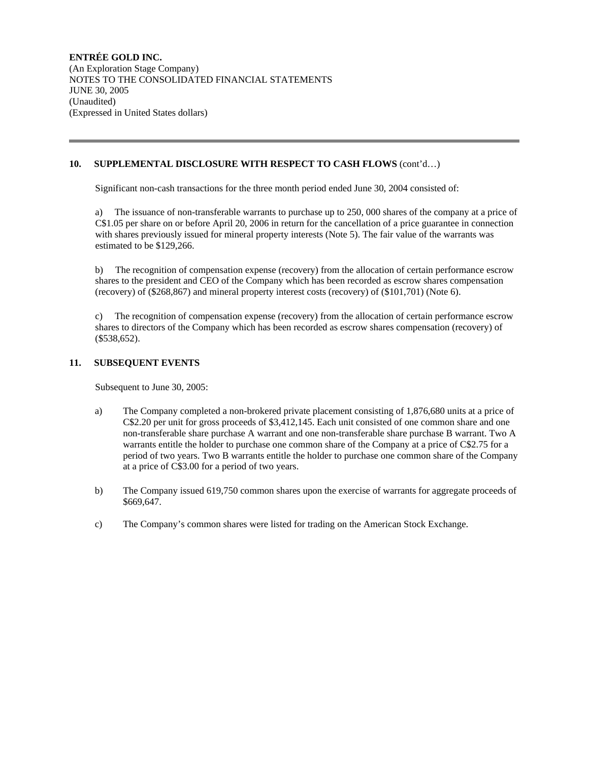# **10. SUPPLEMENTAL DISCLOSURE WITH RESPECT TO CASH FLOWS** (cont'd…)

Significant non-cash transactions for the three month period ended June 30, 2004 consisted of:

 a) The issuance of non-transferable warrants to purchase up to 250, 000 shares of the company at a price of C\$1.05 per share on or before April 20, 2006 in return for the cancellation of a price guarantee in connection with shares previously issued for mineral property interests (Note 5). The fair value of the warrants was estimated to be \$129,266.

 b) The recognition of compensation expense (recovery) from the allocation of certain performance escrow shares to the president and CEO of the Company which has been recorded as escrow shares compensation (recovery) of (\$268,867) and mineral property interest costs (recovery) of (\$101,701) (Note 6).

 c) The recognition of compensation expense (recovery) from the allocation of certain performance escrow shares to directors of the Company which has been recorded as escrow shares compensation (recovery) of (\$538,652).

### **11. SUBSEQUENT EVENTS**

Subsequent to June 30, 2005:

- a) The Company completed a non-brokered private placement consisting of 1,876,680 units at a price of C\$2.20 per unit for gross proceeds of \$3,412,145. Each unit consisted of one common share and one non-transferable share purchase A warrant and one non-transferable share purchase B warrant. Two A warrants entitle the holder to purchase one common share of the Company at a price of C\$2.75 for a period of two years. Two B warrants entitle the holder to purchase one common share of the Company at a price of C\$3.00 for a period of two years.
- b) The Company issued 619,750 common shares upon the exercise of warrants for aggregate proceeds of \$669,647.
- c) The Company's common shares were listed for trading on the American Stock Exchange.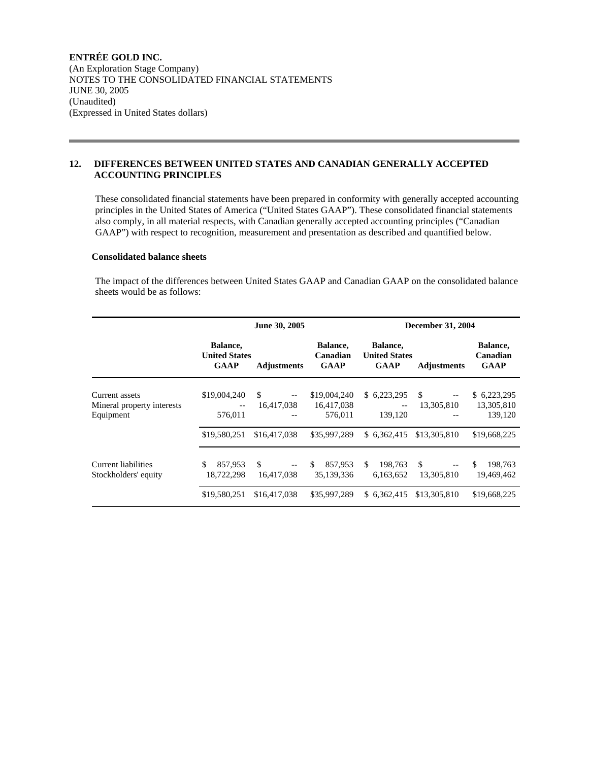# **12. DIFFERENCES BETWEEN UNITED STATES AND CANADIAN GENERALLY ACCEPTED ACCOUNTING PRINCIPLES**

 These consolidated financial statements have been prepared in conformity with generally accepted accounting principles in the United States of America ("United States GAAP"). These consolidated financial statements also comply, in all material respects, with Canadian generally accepted accounting principles ("Canadian GAAP") with respect to recognition, measurement and presentation as described and quantified below.

### **Consolidated balance sheets**

 The impact of the differences between United States GAAP and Canadian GAAP on the consolidated balance sheets would be as follows:

|                                                           | June 30, 2005                                   |                         |                                       | <b>December 31, 2004</b>                           |                         |                                      |  |
|-----------------------------------------------------------|-------------------------------------------------|-------------------------|---------------------------------------|----------------------------------------------------|-------------------------|--------------------------------------|--|
|                                                           | Balance,<br><b>United States</b><br><b>GAAP</b> | <b>Adjustments</b>      | Balance,<br>Canadian<br><b>GAAP</b>   | Balance,<br><b>United States</b><br><b>GAAP</b>    | <b>Adjustments</b>      | Balance,<br>Canadian<br><b>GAAP</b>  |  |
| Current assets<br>Mineral property interests<br>Equipment | \$19,004,240<br>$-\,-$<br>576,011               | \$.<br>--<br>16,417,038 | \$19,004,240<br>16,417,038<br>576,011 | \$6,223,295<br>$\overline{\phantom{m}}$<br>139,120 | \$.<br>--<br>13,305,810 | \$6,223,295<br>13,305,810<br>139,120 |  |
|                                                           | \$19,580,251                                    | \$16,417,038            | \$35,997,289                          | \$6.362.415                                        | \$13,305,810            | \$19,668,225                         |  |
| Current liabilities<br>Stockholders' equity               | \$<br>857,953<br>18,722,298                     | \$.<br>16.417.038       | \$<br>857,953<br>35,139,336           | \$.<br>198.763<br>6,163,652                        | \$<br>13.305.810        | \$.<br>198,763<br>19,469,462         |  |
|                                                           | \$19,580,251                                    | \$16,417,038            | \$35,997,289                          | \$ 6,362,415                                       | \$13,305,810            | \$19,668,225                         |  |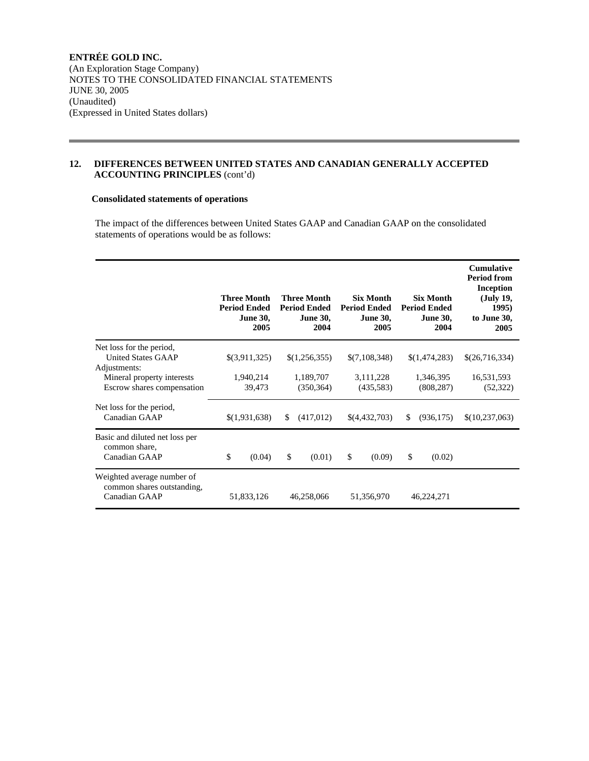# **12. DIFFERENCES BETWEEN UNITED STATES AND CANADIAN GENERALLY ACCEPTED ACCOUNTING PRINCIPLES** (cont'd)

# **Consolidated statements of operations**

 The impact of the differences between United States GAAP and Canadian GAAP on the consolidated statements of operations would be as follows:

|                                                                           | <b>Three Month</b><br><b>Period Ended</b><br><b>June 30,</b><br>2005 | <b>Three Month</b><br><b>Period Ended</b><br><b>June 30,</b><br>2004 | <b>Six Month</b><br><b>Period Ended</b><br><b>June 30,</b><br>2005 | <b>Six Month</b><br><b>Period Ended</b><br><b>June 30,</b><br>2004 | <b>Cumulative</b><br><b>Period from</b><br><b>Inception</b><br>(July 19,<br>1995)<br>to June 30,<br>2005 |
|---------------------------------------------------------------------------|----------------------------------------------------------------------|----------------------------------------------------------------------|--------------------------------------------------------------------|--------------------------------------------------------------------|----------------------------------------------------------------------------------------------------------|
| Net loss for the period,<br><b>United States GAAP</b><br>Adjustments:     | \$(3,911,325)                                                        | \$(1,256,355)                                                        | \$(7,108,348)                                                      | \$(1,474,283)                                                      | \$(26,716,334)                                                                                           |
| Mineral property interests<br>Escrow shares compensation                  | 1,940,214<br>39,473                                                  | 1,189,707<br>(350, 364)                                              | 3,111,228<br>(435,583)                                             | 1,346,395<br>(808, 287)                                            | 16,531,593<br>(52, 322)                                                                                  |
| Net loss for the period,<br>Canadian GAAP                                 | \$(1,931,638)                                                        | (417,012)<br>\$                                                      | \$(4,432,703)                                                      | \$<br>(936, 175)                                                   | \$(10,237,063)                                                                                           |
| Basic and diluted net loss per<br>common share,<br>Canadian GAAP          | \$<br>(0.04)                                                         | \$<br>(0.01)                                                         | \$<br>(0.09)                                                       | \$<br>(0.02)                                                       |                                                                                                          |
| Weighted average number of<br>common shares outstanding,<br>Canadian GAAP | 51,833,126                                                           | 46,258,066                                                           | 51,356,970                                                         | 46,224,271                                                         |                                                                                                          |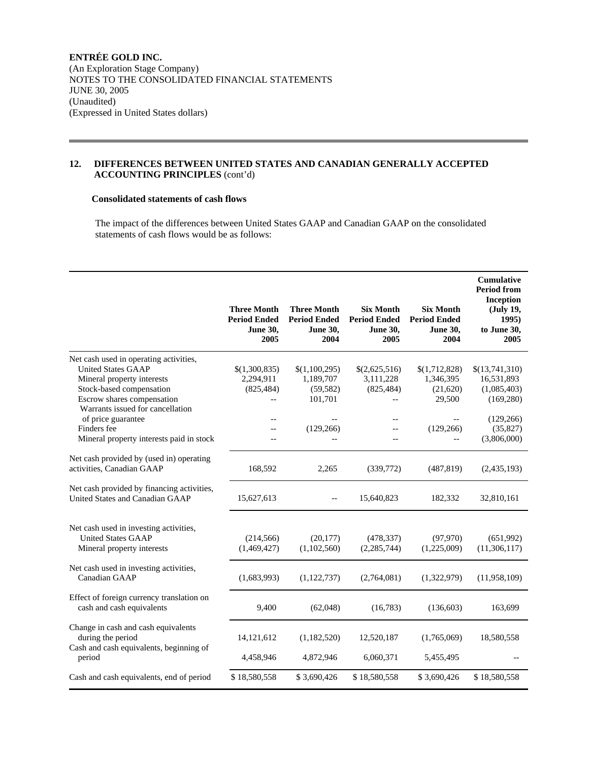# **12. DIFFERENCES BETWEEN UNITED STATES AND CANADIAN GENERALLY ACCEPTED ACCOUNTING PRINCIPLES** (cont'd)

# **Consolidated statements of cash flows**

 The impact of the differences between United States GAAP and Canadian GAAP on the consolidated statements of cash flows would be as follows:

|                                                                                                     | <b>Three Month</b><br><b>Period Ended</b><br><b>June 30,</b><br>2005 | <b>Three Month</b><br><b>Period Ended</b><br><b>June 30,</b><br>2004 | <b>Six Month</b><br><b>Period Ended</b><br><b>June 30,</b><br>2005 | <b>Six Month</b><br><b>Period Ended</b><br><b>June 30,</b><br>2004 | <b>Cumulative</b><br><b>Period from</b><br><b>Inception</b><br>(July 19,<br>1995)<br>to June 30,<br>2005 |
|-----------------------------------------------------------------------------------------------------|----------------------------------------------------------------------|----------------------------------------------------------------------|--------------------------------------------------------------------|--------------------------------------------------------------------|----------------------------------------------------------------------------------------------------------|
| Net cash used in operating activities,                                                              |                                                                      |                                                                      |                                                                    |                                                                    |                                                                                                          |
| <b>United States GAAP</b>                                                                           | \$(1,300,835)                                                        | \$(1,100,295)                                                        | \$(2,625,516)                                                      | \$(1,712,828)                                                      | \$(13,741,310)                                                                                           |
| Mineral property interests                                                                          | 2,294,911                                                            | 1,189,707                                                            | 3,111,228                                                          | 1,346,395                                                          | 16,531,893                                                                                               |
| Stock-based compensation                                                                            | (825, 484)                                                           | (59, 582)                                                            | (825, 484)                                                         | (21,620)                                                           | (1,085,403)                                                                                              |
| Escrow shares compensation                                                                          |                                                                      | 101,701                                                              |                                                                    | 29,500                                                             | (169, 280)                                                                                               |
| Warrants issued for cancellation                                                                    |                                                                      |                                                                      |                                                                    |                                                                    |                                                                                                          |
| of price guarantee                                                                                  | $-$                                                                  |                                                                      | $-$                                                                | $-$                                                                | (129, 266)                                                                                               |
| Finders fee                                                                                         | $-$                                                                  | (129, 266)                                                           | $-$                                                                | (129, 266)                                                         | (35,827)                                                                                                 |
| Mineral property interests paid in stock                                                            |                                                                      |                                                                      | $-$                                                                | $-$                                                                | (3,806,000)                                                                                              |
| Net cash provided by (used in) operating                                                            |                                                                      |                                                                      |                                                                    |                                                                    |                                                                                                          |
| activities, Canadian GAAP                                                                           | 168,592                                                              | 2,265                                                                | (339,772)                                                          | (487, 819)                                                         | (2,435,193)                                                                                              |
| Net cash provided by financing activities,<br>United States and Canadian GAAP                       | 15,627,613                                                           |                                                                      | 15,640,823                                                         | 182,332                                                            | 32,810,161                                                                                               |
| Net cash used in investing activities,<br><b>United States GAAP</b><br>Mineral property interests   | (214, 566)<br>(1,469,427)                                            | (20, 177)<br>(1,102,560)                                             | (478, 337)<br>(2, 285, 744)                                        | (97,970)<br>(1,225,009)                                            | (651,992)<br>(11, 306, 117)                                                                              |
| Net cash used in investing activities,<br>Canadian GAAP                                             | (1,683,993)                                                          | (1, 122, 737)                                                        | (2,764,081)                                                        | (1,322,979)                                                        | (11,958,109)                                                                                             |
| Effect of foreign currency translation on<br>cash and cash equivalents                              | 9,400                                                                | (62,048)                                                             | (16,783)                                                           | (136, 603)                                                         | 163,699                                                                                                  |
| Change in cash and cash equivalents<br>during the period<br>Cash and cash equivalents, beginning of | 14,121,612                                                           | (1,182,520)                                                          | 12,520,187                                                         | (1,765,069)                                                        | 18,580,558                                                                                               |
| period                                                                                              | 4,458,946                                                            | 4,872,946                                                            | 6,060,371                                                          | 5,455,495                                                          |                                                                                                          |
| Cash and cash equivalents, end of period                                                            | \$18,580,558                                                         | \$3,690,426                                                          | \$18,580,558                                                       | \$3,690,426                                                        | \$18,580,558                                                                                             |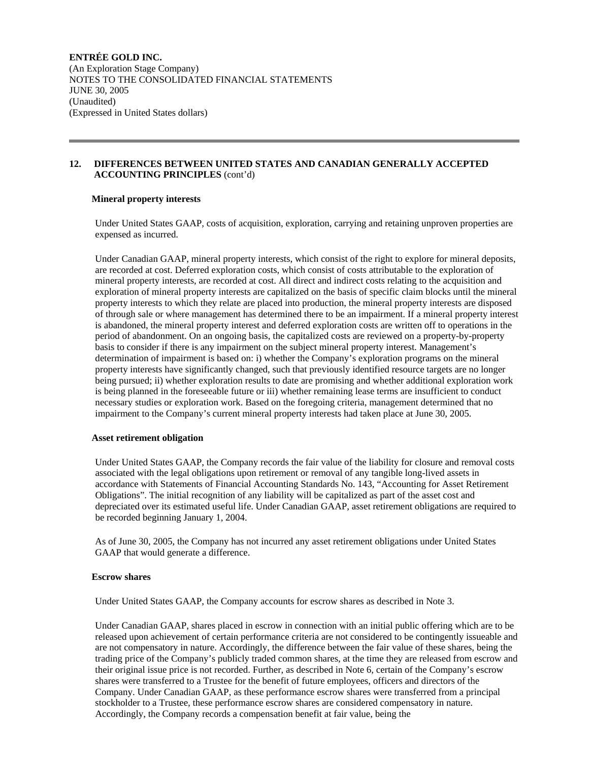# **12. DIFFERENCES BETWEEN UNITED STATES AND CANADIAN GENERALLY ACCEPTED ACCOUNTING PRINCIPLES** (cont'd)

# **Mineral property interests**

 Under United States GAAP, costs of acquisition, exploration, carrying and retaining unproven properties are expensed as incurred.

 Under Canadian GAAP, mineral property interests, which consist of the right to explore for mineral deposits, are recorded at cost. Deferred exploration costs, which consist of costs attributable to the exploration of mineral property interests, are recorded at cost. All direct and indirect costs relating to the acquisition and exploration of mineral property interests are capitalized on the basis of specific claim blocks until the mineral property interests to which they relate are placed into production, the mineral property interests are disposed of through sale or where management has determined there to be an impairment. If a mineral property interest is abandoned, the mineral property interest and deferred exploration costs are written off to operations in the period of abandonment. On an ongoing basis, the capitalized costs are reviewed on a property-by-property basis to consider if there is any impairment on the subject mineral property interest. Management's determination of impairment is based on: i) whether the Company's exploration programs on the mineral property interests have significantly changed, such that previously identified resource targets are no longer being pursued; ii) whether exploration results to date are promising and whether additional exploration work is being planned in the foreseeable future or iii) whether remaining lease terms are insufficient to conduct necessary studies or exploration work. Based on the foregoing criteria, management determined that no impairment to the Company's current mineral property interests had taken place at June 30, 2005.

# **Asset retirement obligation**

 Under United States GAAP, the Company records the fair value of the liability for closure and removal costs associated with the legal obligations upon retirement or removal of any tangible long-lived assets in accordance with Statements of Financial Accounting Standards No. 143, "Accounting for Asset Retirement Obligations". The initial recognition of any liability will be capitalized as part of the asset cost and depreciated over its estimated useful life. Under Canadian GAAP, asset retirement obligations are required to be recorded beginning January 1, 2004.

 As of June 30, 2005, the Company has not incurred any asset retirement obligations under United States GAAP that would generate a difference.

# **Escrow shares**

Under United States GAAP, the Company accounts for escrow shares as described in Note 3.

 Under Canadian GAAP, shares placed in escrow in connection with an initial public offering which are to be released upon achievement of certain performance criteria are not considered to be contingently issueable and are not compensatory in nature. Accordingly, the difference between the fair value of these shares, being the trading price of the Company's publicly traded common shares, at the time they are released from escrow and their original issue price is not recorded. Further, as described in Note 6, certain of the Company's escrow shares were transferred to a Trustee for the benefit of future employees, officers and directors of the Company. Under Canadian GAAP, as these performance escrow shares were transferred from a principal stockholder to a Trustee, these performance escrow shares are considered compensatory in nature. Accordingly, the Company records a compensation benefit at fair value, being the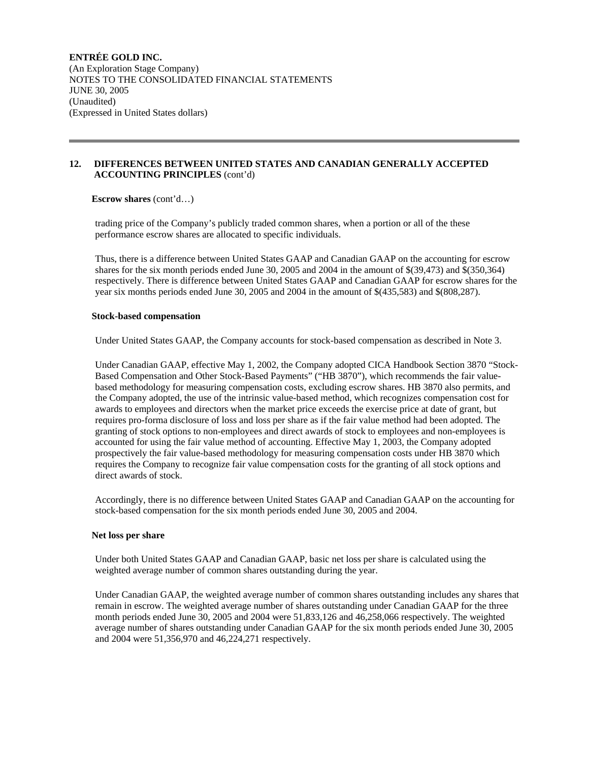### **12. DIFFERENCES BETWEEN UNITED STATES AND CANADIAN GENERALLY ACCEPTED ACCOUNTING PRINCIPLES** (cont'd)

**Escrow shares** (cont'd…)

 trading price of the Company's publicly traded common shares, when a portion or all of the these performance escrow shares are allocated to specific individuals.

 Thus, there is a difference between United States GAAP and Canadian GAAP on the accounting for escrow shares for the six month periods ended June 30, 2005 and 2004 in the amount of \$(39,473) and \$(350,364) respectively. There is difference between United States GAAP and Canadian GAAP for escrow shares for the year six months periods ended June 30, 2005 and 2004 in the amount of \$(435,583) and \$(808,287).

#### **Stock-based compensation**

Under United States GAAP, the Company accounts for stock-based compensation as described in Note 3.

 Under Canadian GAAP, effective May 1, 2002, the Company adopted CICA Handbook Section 3870 "Stock-Based Compensation and Other Stock-Based Payments" ("HB 3870"), which recommends the fair valuebased methodology for measuring compensation costs, excluding escrow shares. HB 3870 also permits, and the Company adopted, the use of the intrinsic value-based method, which recognizes compensation cost for awards to employees and directors when the market price exceeds the exercise price at date of grant, but requires pro-forma disclosure of loss and loss per share as if the fair value method had been adopted. The granting of stock options to non-employees and direct awards of stock to employees and non-employees is accounted for using the fair value method of accounting. Effective May 1, 2003, the Company adopted prospectively the fair value-based methodology for measuring compensation costs under HB 3870 which requires the Company to recognize fair value compensation costs for the granting of all stock options and direct awards of stock.

 Accordingly, there is no difference between United States GAAP and Canadian GAAP on the accounting for stock-based compensation for the six month periods ended June 30, 2005 and 2004.

#### **Net loss per share**

 Under both United States GAAP and Canadian GAAP, basic net loss per share is calculated using the weighted average number of common shares outstanding during the year.

 Under Canadian GAAP, the weighted average number of common shares outstanding includes any shares that remain in escrow. The weighted average number of shares outstanding under Canadian GAAP for the three month periods ended June 30, 2005 and 2004 were 51,833,126 and 46,258,066 respectively. The weighted average number of shares outstanding under Canadian GAAP for the six month periods ended June 30, 2005 and 2004 were 51,356,970 and 46,224,271 respectively.